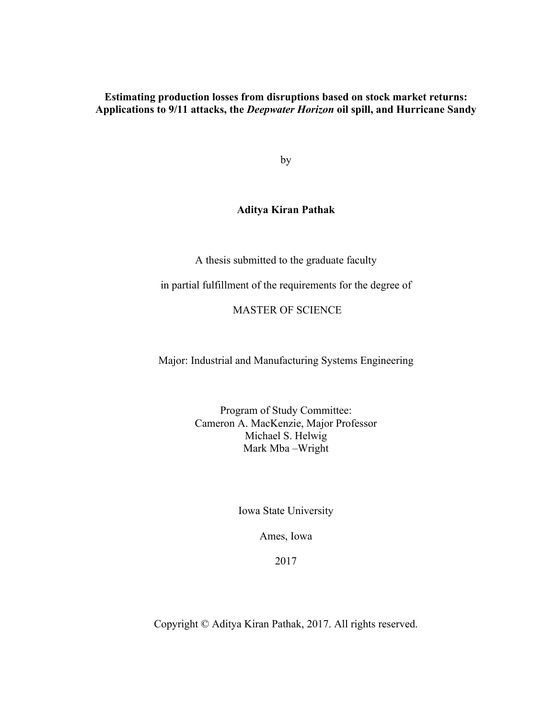**Estimating production losses from disruptions based on stock market returns: Applications to 9/11 attacks, the** *Deepwater Horizon* **oil spill, and Hurricane Sandy**

by

## **Aditya Kiran Pathak**

A thesis submitted to the graduate faculty

in partial fulfillment of the requirements for the degree of

MASTER OF SCIENCE

Major: Industrial and Manufacturing Systems Engineering

Program of Study Committee: Cameron A. MacKenzie, Major Professor Michael S. Helwig Mark Mba –Wright

Iowa State University

Ames, Iowa

2017

Copyright © Aditya Kiran Pathak, 2017. All rights reserved.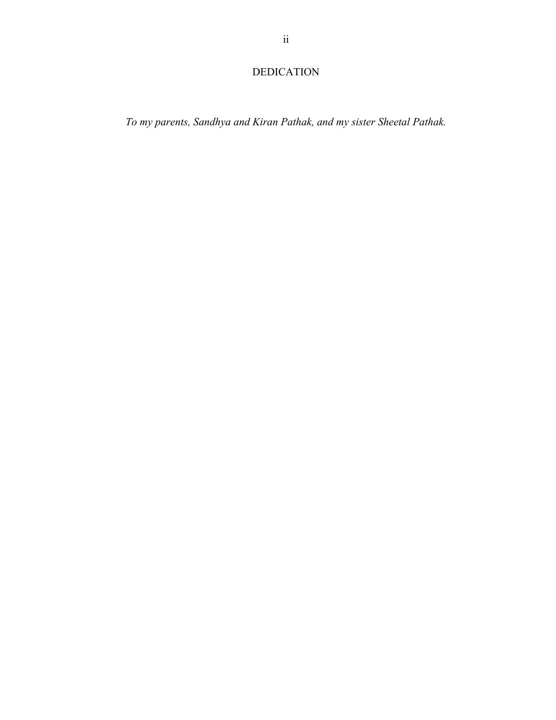# DEDICATION

*To my parents, Sandhya and Kiran Pathak, and my sister Sheetal Pathak.*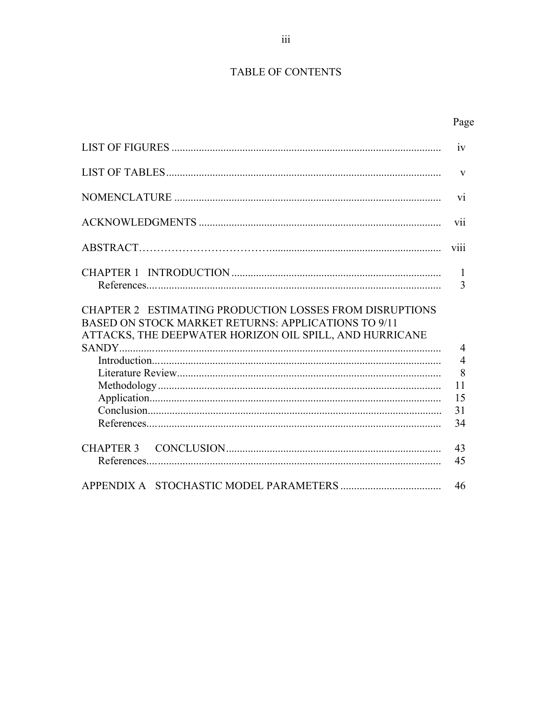## TABLE OF CONTENTS

|                                                                                                                                                                           | iv                                                            |
|---------------------------------------------------------------------------------------------------------------------------------------------------------------------------|---------------------------------------------------------------|
|                                                                                                                                                                           | $\mathbf{V}$                                                  |
|                                                                                                                                                                           | V <sub>1</sub>                                                |
|                                                                                                                                                                           | vii                                                           |
|                                                                                                                                                                           | V111                                                          |
|                                                                                                                                                                           | $\mathbf{1}$<br>3                                             |
| CHAPTER 2 ESTIMATING PRODUCTION LOSSES FROM DISRUPTIONS<br>BASED ON STOCK MARKET RETURNS: APPLICATIONS TO 9/11<br>ATTACKS, THE DEEPWATER HORIZON OIL SPILL, AND HURRICANE | $\overline{4}$<br>$\overline{4}$<br>8<br>11<br>15<br>31<br>34 |
|                                                                                                                                                                           | 43<br>45                                                      |
|                                                                                                                                                                           | 46                                                            |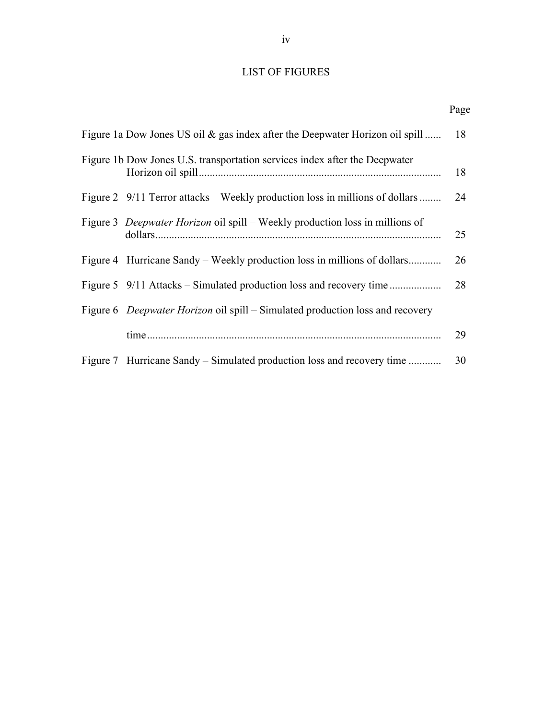## LIST OF FIGURES

| Page |
|------|
|      |

| Figure 1a Dow Jones US oil & gas index after the Deepwater Horizon oil spill        | 18 |
|-------------------------------------------------------------------------------------|----|
| Figure 1b Dow Jones U.S. transportation services index after the Deepwater          | 18 |
| Figure 2 9/11 Terror attacks – Weekly production loss in millions of dollars        | 24 |
| Figure 3 <i>Deepwater Horizon</i> oil spill – Weekly production loss in millions of | 25 |
| Figure 4 Hurricane Sandy – Weekly production loss in millions of dollars            | 26 |
|                                                                                     | 28 |
| Figure 6 Deepwater Horizon oil spill – Simulated production loss and recovery       |    |
|                                                                                     | 29 |
| Figure 7 Hurricane Sandy – Simulated production loss and recovery time              | 30 |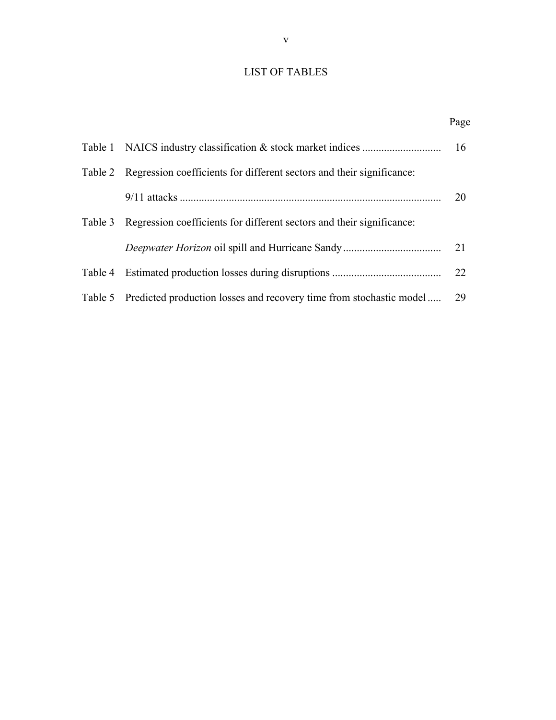# LIST OF TABLES

Page **Page** 

|         |                                                                               | 16 |
|---------|-------------------------------------------------------------------------------|----|
|         | Table 2 Regression coefficients for different sectors and their significance: |    |
|         |                                                                               | 20 |
| Table 3 | Regression coefficients for different sectors and their significance:         |    |
|         |                                                                               | 21 |
|         |                                                                               | 22 |
|         | Table 5 Predicted production losses and recovery time from stochastic model   | 29 |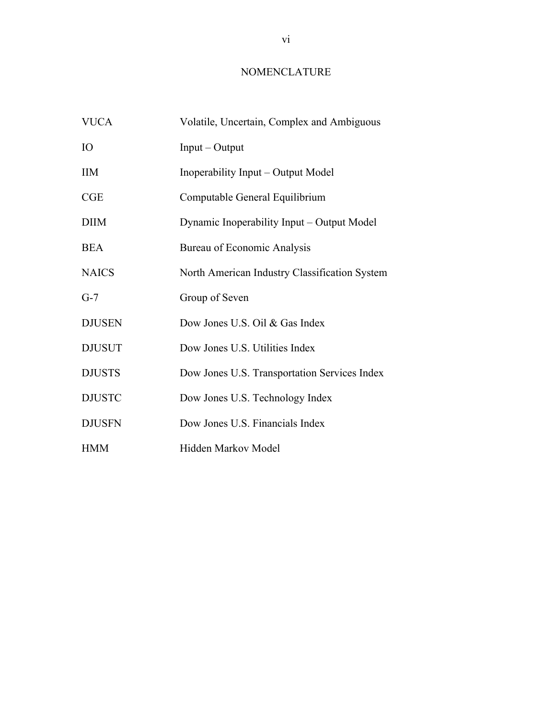## NOMENCLATURE

| <b>VUCA</b>   | Volatile, Uncertain, Complex and Ambiguous    |
|---------------|-----------------------------------------------|
| <b>IO</b>     | $Input - Output$                              |
| <b>IIM</b>    | Inoperability Input – Output Model            |
| CGE           | Computable General Equilibrium                |
| <b>DIIM</b>   | Dynamic Inoperability Input - Output Model    |
| <b>BEA</b>    | Bureau of Economic Analysis                   |
| <b>NAICS</b>  | North American Industry Classification System |
| $G-7$         | Group of Seven                                |
| <b>DJUSEN</b> | Dow Jones U.S. Oil & Gas Index                |
| <b>DJUSUT</b> | Dow Jones U.S. Utilities Index                |
| <b>DJUSTS</b> | Dow Jones U.S. Transportation Services Index  |
| <b>DJUSTC</b> | Dow Jones U.S. Technology Index               |
| <b>DJUSFN</b> | Dow Jones U.S. Financials Index               |
| <b>HMM</b>    | Hidden Markov Model                           |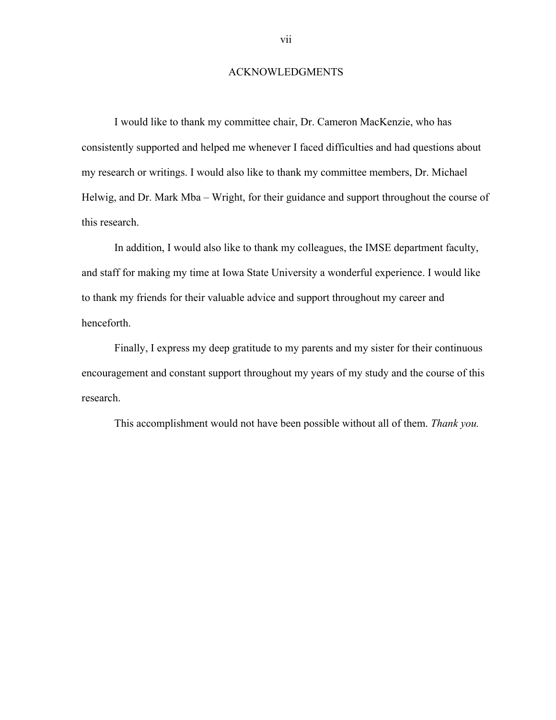### ACKNOWLEDGMENTS

I would like to thank my committee chair, Dr. Cameron MacKenzie, who has consistently supported and helped me whenever I faced difficulties and had questions about my research or writings. I would also like to thank my committee members, Dr. Michael Helwig, and Dr. Mark Mba – Wright, for their guidance and support throughout the course of this research.

In addition, I would also like to thank my colleagues, the IMSE department faculty, and staff for making my time at Iowa State University a wonderful experience. I would like to thank my friends for their valuable advice and support throughout my career and henceforth.

Finally, I express my deep gratitude to my parents and my sister for their continuous encouragement and constant support throughout my years of my study and the course of this research.

This accomplishment would not have been possible without all of them. *Thank you.*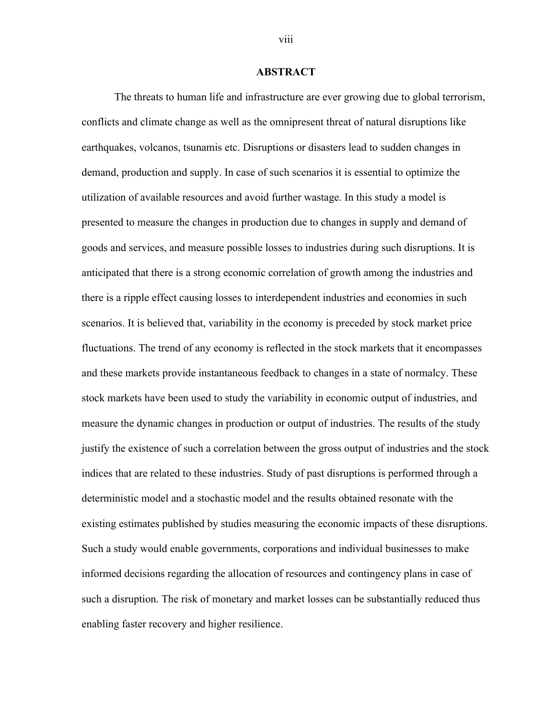### **ABSTRACT**

The threats to human life and infrastructure are ever growing due to global terrorism, conflicts and climate change as well as the omnipresent threat of natural disruptions like earthquakes, volcanos, tsunamis etc. Disruptions or disasters lead to sudden changes in demand, production and supply. In case of such scenarios it is essential to optimize the utilization of available resources and avoid further wastage. In this study a model is presented to measure the changes in production due to changes in supply and demand of goods and services, and measure possible losses to industries during such disruptions. It is anticipated that there is a strong economic correlation of growth among the industries and there is a ripple effect causing losses to interdependent industries and economies in such scenarios. It is believed that, variability in the economy is preceded by stock market price fluctuations. The trend of any economy is reflected in the stock markets that it encompasses and these markets provide instantaneous feedback to changes in a state of normalcy. These stock markets have been used to study the variability in economic output of industries, and measure the dynamic changes in production or output of industries. The results of the study justify the existence of such a correlation between the gross output of industries and the stock indices that are related to these industries. Study of past disruptions is performed through a deterministic model and a stochastic model and the results obtained resonate with the existing estimates published by studies measuring the economic impacts of these disruptions. Such a study would enable governments, corporations and individual businesses to make informed decisions regarding the allocation of resources and contingency plans in case of such a disruption. The risk of monetary and market losses can be substantially reduced thus enabling faster recovery and higher resilience.

viii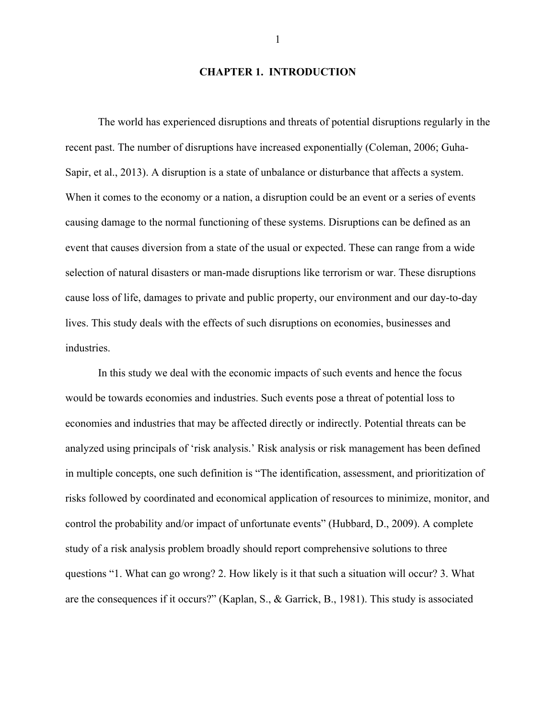### **CHAPTER 1. INTRODUCTION**

The world has experienced disruptions and threats of potential disruptions regularly in the recent past. The number of disruptions have increased exponentially (Coleman, 2006; Guha-Sapir, et al., 2013). A disruption is a state of unbalance or disturbance that affects a system. When it comes to the economy or a nation, a disruption could be an event or a series of events causing damage to the normal functioning of these systems. Disruptions can be defined as an event that causes diversion from a state of the usual or expected. These can range from a wide selection of natural disasters or man-made disruptions like terrorism or war. These disruptions cause loss of life, damages to private and public property, our environment and our day-to-day lives. This study deals with the effects of such disruptions on economies, businesses and industries.

In this study we deal with the economic impacts of such events and hence the focus would be towards economies and industries. Such events pose a threat of potential loss to economies and industries that may be affected directly or indirectly. Potential threats can be analyzed using principals of 'risk analysis.' Risk analysis or risk management has been defined in multiple concepts, one such definition is "The identification, assessment, and prioritization of risks followed by coordinated and economical application of resources to minimize, monitor, and control the probability and/or impact of unfortunate events" (Hubbard, D., 2009). A complete study of a risk analysis problem broadly should report comprehensive solutions to three questions "1. What can go wrong? 2. How likely is it that such a situation will occur? 3. What are the consequences if it occurs?" (Kaplan, S., & Garrick, B., 1981). This study is associated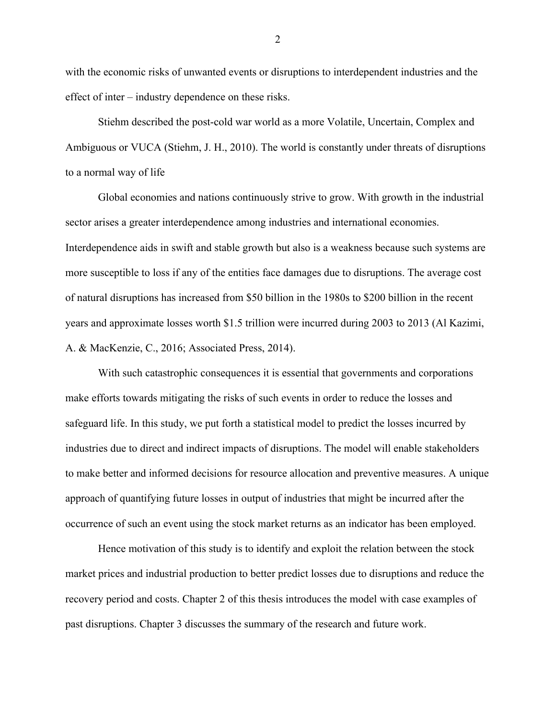with the economic risks of unwanted events or disruptions to interdependent industries and the effect of inter – industry dependence on these risks.

Stiehm described the post-cold war world as a more Volatile, Uncertain, Complex and Ambiguous or VUCA (Stiehm, J. H., 2010). The world is constantly under threats of disruptions to a normal way of life

Global economies and nations continuously strive to grow. With growth in the industrial sector arises a greater interdependence among industries and international economies. Interdependence aids in swift and stable growth but also is a weakness because such systems are more susceptible to loss if any of the entities face damages due to disruptions. The average cost of natural disruptions has increased from \$50 billion in the 1980s to \$200 billion in the recent years and approximate losses worth \$1.5 trillion were incurred during 2003 to 2013 (Al Kazimi, A. & MacKenzie, C., 2016; Associated Press, 2014).

With such catastrophic consequences it is essential that governments and corporations make efforts towards mitigating the risks of such events in order to reduce the losses and safeguard life. In this study, we put forth a statistical model to predict the losses incurred by industries due to direct and indirect impacts of disruptions. The model will enable stakeholders to make better and informed decisions for resource allocation and preventive measures. A unique approach of quantifying future losses in output of industries that might be incurred after the occurrence of such an event using the stock market returns as an indicator has been employed.

Hence motivation of this study is to identify and exploit the relation between the stock market prices and industrial production to better predict losses due to disruptions and reduce the recovery period and costs. Chapter 2 of this thesis introduces the model with case examples of past disruptions. Chapter 3 discusses the summary of the research and future work.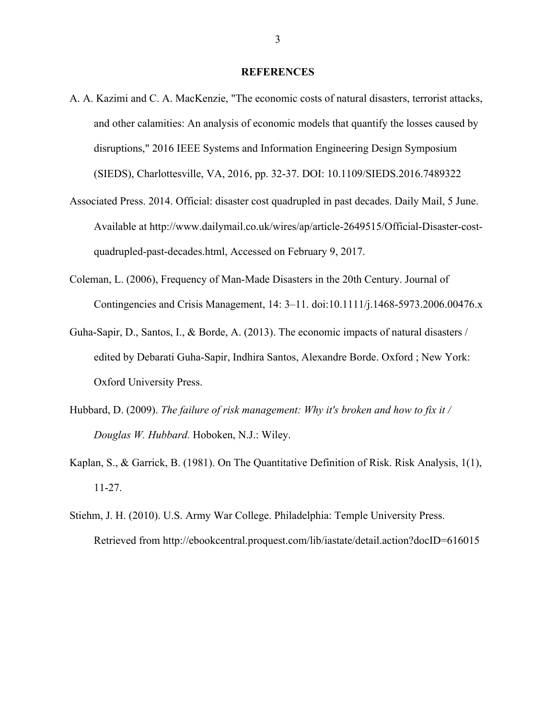#### **REFERENCES**

- A. A. Kazimi and C. A. MacKenzie, "The economic costs of natural disasters, terrorist attacks, and other calamities: An analysis of economic models that quantify the losses caused by disruptions," 2016 IEEE Systems and Information Engineering Design Symposium (SIEDS), Charlottesville, VA, 2016, pp. 32-37. DOI: 10.1109/SIEDS.2016.7489322
- Associated Press. 2014. Official: disaster cost quadrupled in past decades. Daily Mail, 5 June. Available at http://www.dailymail.co.uk/wires/ap/article-2649515/Official-Disaster-costquadrupled-past-decades.html, Accessed on February 9, 2017.
- Coleman, L. (2006), Frequency of Man-Made Disasters in the 20th Century. Journal of Contingencies and Crisis Management, 14: 3–11. doi:10.1111/j.1468-5973.2006.00476.x
- Guha-Sapir, D., Santos, I., & Borde, A. (2013). The economic impacts of natural disasters / edited by Debarati Guha-Sapir, Indhira Santos, Alexandre Borde. Oxford ; New York: Oxford University Press.
- Hubbard, D. (2009). *The failure of risk management: Why it's broken and how to fix it / Douglas W. Hubbard.* Hoboken, N.J.: Wiley.
- Kaplan, S., & Garrick, B. (1981). On The Quantitative Definition of Risk. Risk Analysis, 1(1), 11-27.
- Stiehm, J. H. (2010). U.S. Army War College. Philadelphia: Temple University Press. Retrieved from http://ebookcentral.proquest.com/lib/iastate/detail.action?docID=616015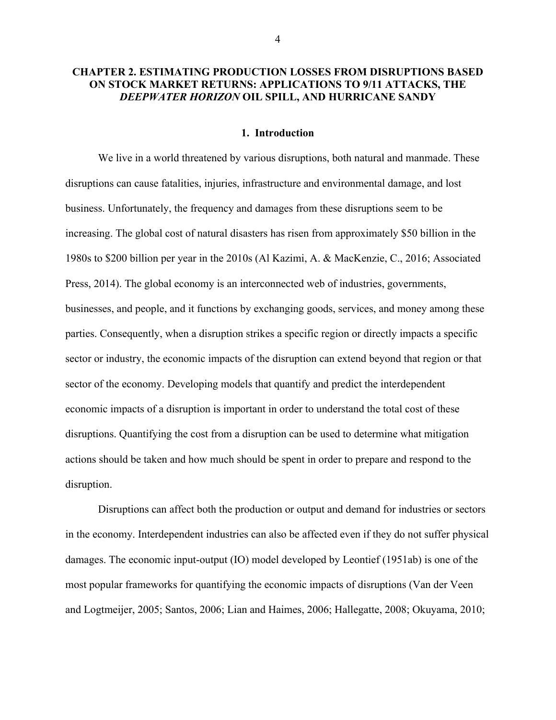## **CHAPTER 2. ESTIMATING PRODUCTION LOSSES FROM DISRUPTIONS BASED ON STOCK MARKET RETURNS: APPLICATIONS TO 9/11 ATTACKS, THE**  *DEEPWATER HORIZON* **OIL SPILL, AND HURRICANE SANDY**

#### **1. Introduction**

We live in a world threatened by various disruptions, both natural and manmade. These disruptions can cause fatalities, injuries, infrastructure and environmental damage, and lost business. Unfortunately, the frequency and damages from these disruptions seem to be increasing. The global cost of natural disasters has risen from approximately \$50 billion in the 1980s to \$200 billion per year in the 2010s (Al Kazimi, A. & MacKenzie, C., 2016; Associated Press, 2014). The global economy is an interconnected web of industries, governments, businesses, and people, and it functions by exchanging goods, services, and money among these parties. Consequently, when a disruption strikes a specific region or directly impacts a specific sector or industry, the economic impacts of the disruption can extend beyond that region or that sector of the economy. Developing models that quantify and predict the interdependent economic impacts of a disruption is important in order to understand the total cost of these disruptions. Quantifying the cost from a disruption can be used to determine what mitigation actions should be taken and how much should be spent in order to prepare and respond to the disruption.

Disruptions can affect both the production or output and demand for industries or sectors in the economy. Interdependent industries can also be affected even if they do not suffer physical damages. The economic input-output (IO) model developed by Leontief (1951ab) is one of the most popular frameworks for quantifying the economic impacts of disruptions (Van der Veen and Logtmeijer, 2005; Santos, 2006; Lian and Haimes, 2006; Hallegatte, 2008; Okuyama, 2010;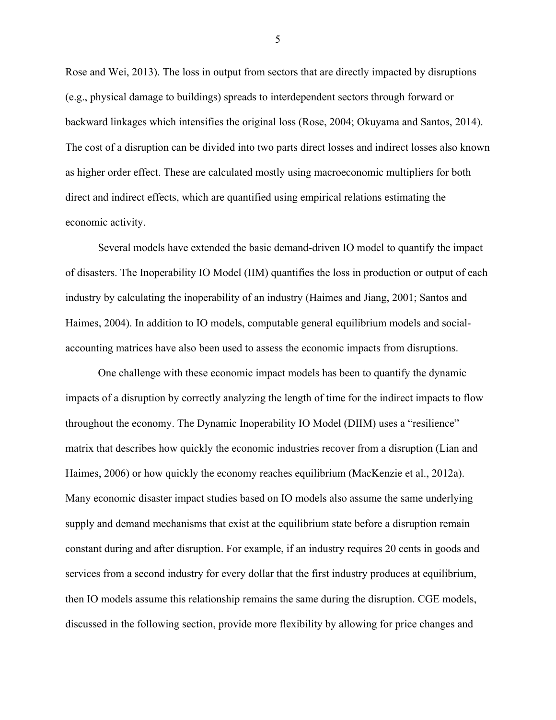Rose and Wei, 2013). The loss in output from sectors that are directly impacted by disruptions (e.g., physical damage to buildings) spreads to interdependent sectors through forward or backward linkages which intensifies the original loss (Rose, 2004; Okuyama and Santos, 2014). The cost of a disruption can be divided into two parts direct losses and indirect losses also known as higher order effect. These are calculated mostly using macroeconomic multipliers for both direct and indirect effects, which are quantified using empirical relations estimating the economic activity.

Several models have extended the basic demand-driven IO model to quantify the impact of disasters. The Inoperability IO Model (IIM) quantifies the loss in production or output of each industry by calculating the inoperability of an industry (Haimes and Jiang, 2001; Santos and Haimes, 2004). In addition to IO models, computable general equilibrium models and socialaccounting matrices have also been used to assess the economic impacts from disruptions.

One challenge with these economic impact models has been to quantify the dynamic impacts of a disruption by correctly analyzing the length of time for the indirect impacts to flow throughout the economy. The Dynamic Inoperability IO Model (DIIM) uses a "resilience" matrix that describes how quickly the economic industries recover from a disruption (Lian and Haimes, 2006) or how quickly the economy reaches equilibrium (MacKenzie et al., 2012a). Many economic disaster impact studies based on IO models also assume the same underlying supply and demand mechanisms that exist at the equilibrium state before a disruption remain constant during and after disruption. For example, if an industry requires 20 cents in goods and services from a second industry for every dollar that the first industry produces at equilibrium, then IO models assume this relationship remains the same during the disruption. CGE models, discussed in the following section, provide more flexibility by allowing for price changes and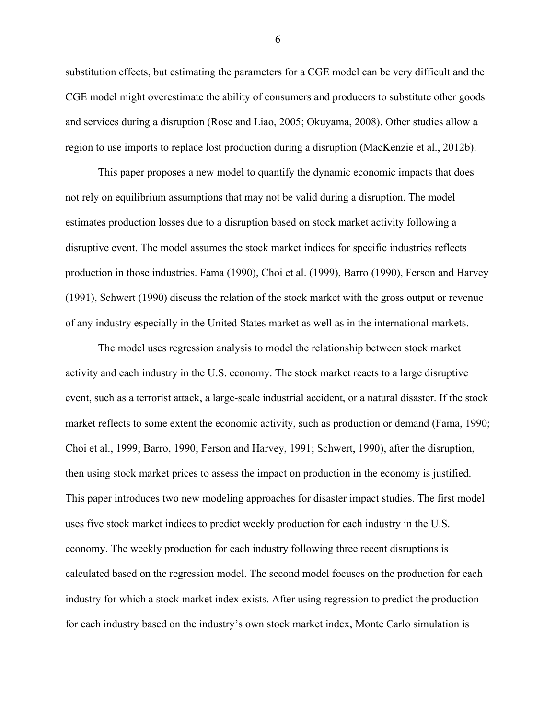substitution effects, but estimating the parameters for a CGE model can be very difficult and the CGE model might overestimate the ability of consumers and producers to substitute other goods and services during a disruption (Rose and Liao, 2005; Okuyama, 2008). Other studies allow a region to use imports to replace lost production during a disruption (MacKenzie et al., 2012b).

This paper proposes a new model to quantify the dynamic economic impacts that does not rely on equilibrium assumptions that may not be valid during a disruption. The model estimates production losses due to a disruption based on stock market activity following a disruptive event. The model assumes the stock market indices for specific industries reflects production in those industries. Fama (1990), Choi et al. (1999), Barro (1990), Ferson and Harvey (1991), Schwert (1990) discuss the relation of the stock market with the gross output or revenue of any industry especially in the United States market as well as in the international markets.

The model uses regression analysis to model the relationship between stock market activity and each industry in the U.S. economy. The stock market reacts to a large disruptive event, such as a terrorist attack, a large-scale industrial accident, or a natural disaster. If the stock market reflects to some extent the economic activity, such as production or demand (Fama, 1990; Choi et al., 1999; Barro, 1990; Ferson and Harvey, 1991; Schwert, 1990), after the disruption, then using stock market prices to assess the impact on production in the economy is justified. This paper introduces two new modeling approaches for disaster impact studies. The first model uses five stock market indices to predict weekly production for each industry in the U.S. economy. The weekly production for each industry following three recent disruptions is calculated based on the regression model. The second model focuses on the production for each industry for which a stock market index exists. After using regression to predict the production for each industry based on the industry's own stock market index, Monte Carlo simulation is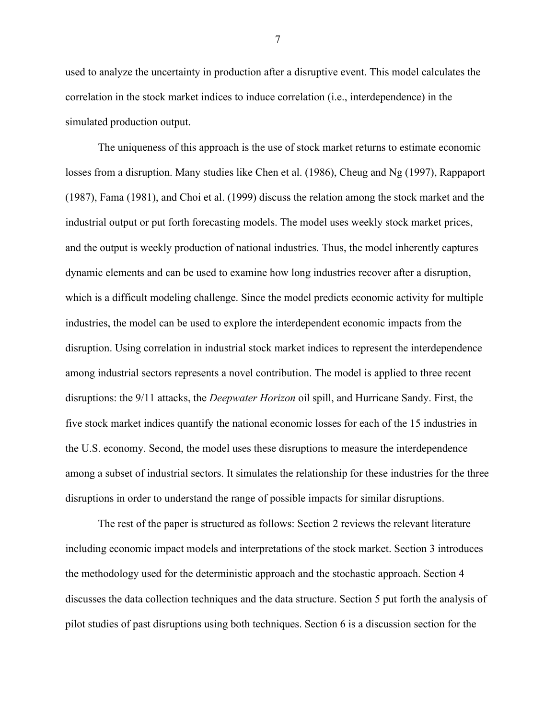used to analyze the uncertainty in production after a disruptive event. This model calculates the correlation in the stock market indices to induce correlation (i.e., interdependence) in the simulated production output.

The uniqueness of this approach is the use of stock market returns to estimate economic losses from a disruption. Many studies like Chen et al. (1986), Cheug and Ng (1997), Rappaport (1987), Fama (1981), and Choi et al. (1999) discuss the relation among the stock market and the industrial output or put forth forecasting models. The model uses weekly stock market prices, and the output is weekly production of national industries. Thus, the model inherently captures dynamic elements and can be used to examine how long industries recover after a disruption, which is a difficult modeling challenge. Since the model predicts economic activity for multiple industries, the model can be used to explore the interdependent economic impacts from the disruption. Using correlation in industrial stock market indices to represent the interdependence among industrial sectors represents a novel contribution. The model is applied to three recent disruptions: the 9/11 attacks, the *Deepwater Horizon* oil spill, and Hurricane Sandy. First, the five stock market indices quantify the national economic losses for each of the 15 industries in the U.S. economy. Second, the model uses these disruptions to measure the interdependence among a subset of industrial sectors. It simulates the relationship for these industries for the three disruptions in order to understand the range of possible impacts for similar disruptions.

The rest of the paper is structured as follows: Section 2 reviews the relevant literature including economic impact models and interpretations of the stock market. Section 3 introduces the methodology used for the deterministic approach and the stochastic approach. Section 4 discusses the data collection techniques and the data structure. Section 5 put forth the analysis of pilot studies of past disruptions using both techniques. Section 6 is a discussion section for the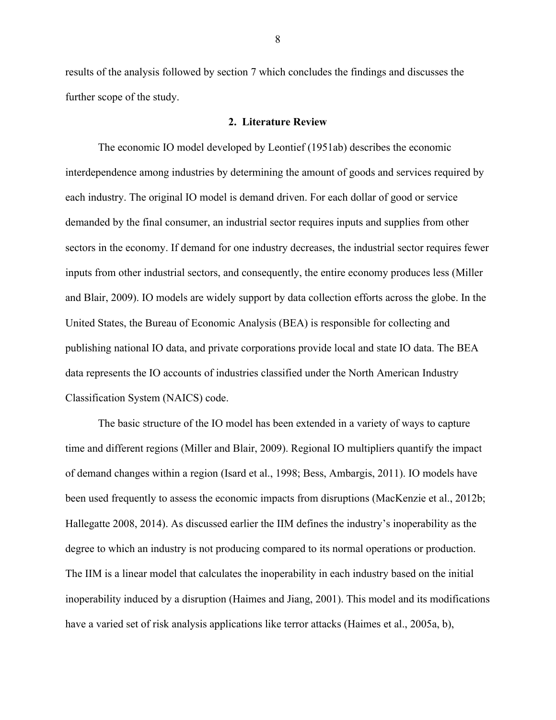results of the analysis followed by section 7 which concludes the findings and discusses the further scope of the study.

### **2. Literature Review**

The economic IO model developed by Leontief (1951ab) describes the economic interdependence among industries by determining the amount of goods and services required by each industry. The original IO model is demand driven. For each dollar of good or service demanded by the final consumer, an industrial sector requires inputs and supplies from other sectors in the economy. If demand for one industry decreases, the industrial sector requires fewer inputs from other industrial sectors, and consequently, the entire economy produces less (Miller and Blair, 2009). IO models are widely support by data collection efforts across the globe. In the United States, the Bureau of Economic Analysis (BEA) is responsible for collecting and publishing national IO data, and private corporations provide local and state IO data. The BEA data represents the IO accounts of industries classified under the North American Industry Classification System (NAICS) code.

The basic structure of the IO model has been extended in a variety of ways to capture time and different regions (Miller and Blair, 2009). Regional IO multipliers quantify the impact of demand changes within a region (Isard et al., 1998; Bess, Ambargis, 2011). IO models have been used frequently to assess the economic impacts from disruptions (MacKenzie et al., 2012b; Hallegatte 2008, 2014). As discussed earlier the IIM defines the industry's inoperability as the degree to which an industry is not producing compared to its normal operations or production. The IIM is a linear model that calculates the inoperability in each industry based on the initial inoperability induced by a disruption (Haimes and Jiang, 2001). This model and its modifications have a varied set of risk analysis applications like terror attacks (Haimes et al., 2005a, b),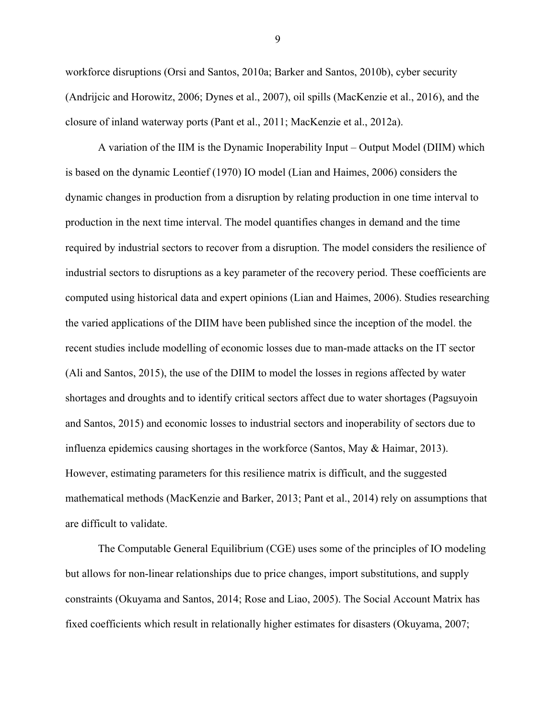workforce disruptions (Orsi and Santos, 2010a; Barker and Santos, 2010b), cyber security (Andrijcic and Horowitz, 2006; Dynes et al., 2007), oil spills (MacKenzie et al., 2016), and the closure of inland waterway ports (Pant et al., 2011; MacKenzie et al., 2012a).

A variation of the IIM is the Dynamic Inoperability Input – Output Model (DIIM) which is based on the dynamic Leontief (1970) IO model (Lian and Haimes, 2006) considers the dynamic changes in production from a disruption by relating production in one time interval to production in the next time interval. The model quantifies changes in demand and the time required by industrial sectors to recover from a disruption. The model considers the resilience of industrial sectors to disruptions as a key parameter of the recovery period. These coefficients are computed using historical data and expert opinions (Lian and Haimes, 2006). Studies researching the varied applications of the DIIM have been published since the inception of the model. the recent studies include modelling of economic losses due to man-made attacks on the IT sector (Ali and Santos, 2015), the use of the DIIM to model the losses in regions affected by water shortages and droughts and to identify critical sectors affect due to water shortages (Pagsuyoin and Santos, 2015) and economic losses to industrial sectors and inoperability of sectors due to influenza epidemics causing shortages in the workforce (Santos, May & Haimar, 2013). However, estimating parameters for this resilience matrix is difficult, and the suggested mathematical methods (MacKenzie and Barker, 2013; Pant et al., 2014) rely on assumptions that are difficult to validate.

The Computable General Equilibrium (CGE) uses some of the principles of IO modeling but allows for non-linear relationships due to price changes, import substitutions, and supply constraints (Okuyama and Santos, 2014; Rose and Liao, 2005). The Social Account Matrix has fixed coefficients which result in relationally higher estimates for disasters (Okuyama, 2007;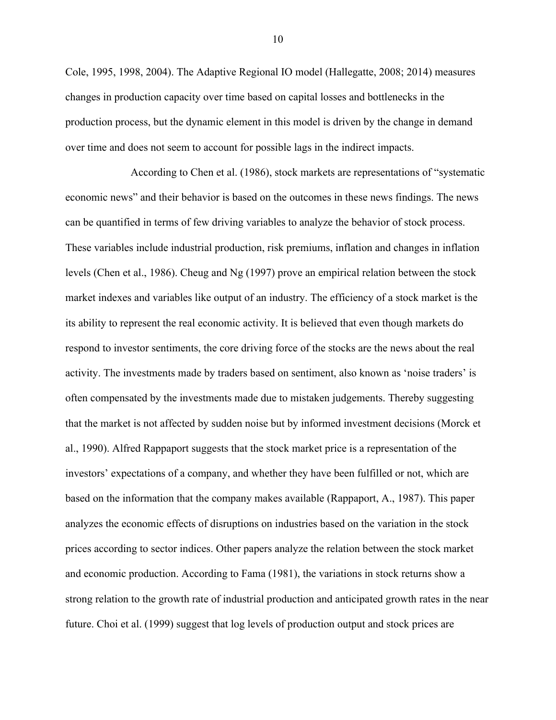Cole, 1995, 1998, 2004). The Adaptive Regional IO model (Hallegatte, 2008; 2014) measures changes in production capacity over time based on capital losses and bottlenecks in the production process, but the dynamic element in this model is driven by the change in demand over time and does not seem to account for possible lags in the indirect impacts.

According to Chen et al. (1986), stock markets are representations of "systematic economic news" and their behavior is based on the outcomes in these news findings. The news can be quantified in terms of few driving variables to analyze the behavior of stock process. These variables include industrial production, risk premiums, inflation and changes in inflation levels (Chen et al., 1986). Cheug and Ng (1997) prove an empirical relation between the stock market indexes and variables like output of an industry. The efficiency of a stock market is the its ability to represent the real economic activity. It is believed that even though markets do respond to investor sentiments, the core driving force of the stocks are the news about the real activity. The investments made by traders based on sentiment, also known as 'noise traders' is often compensated by the investments made due to mistaken judgements. Thereby suggesting that the market is not affected by sudden noise but by informed investment decisions (Morck et al., 1990). Alfred Rappaport suggests that the stock market price is a representation of the investors' expectations of a company, and whether they have been fulfilled or not, which are based on the information that the company makes available (Rappaport, A., 1987). This paper analyzes the economic effects of disruptions on industries based on the variation in the stock prices according to sector indices. Other papers analyze the relation between the stock market and economic production. According to Fama (1981), the variations in stock returns show a strong relation to the growth rate of industrial production and anticipated growth rates in the near future. Choi et al. (1999) suggest that log levels of production output and stock prices are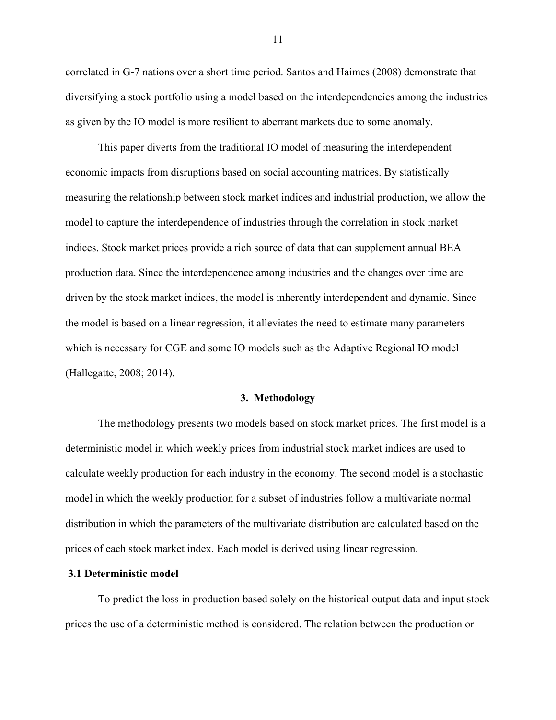correlated in G-7 nations over a short time period. Santos and Haimes (2008) demonstrate that diversifying a stock portfolio using a model based on the interdependencies among the industries as given by the IO model is more resilient to aberrant markets due to some anomaly.

This paper diverts from the traditional IO model of measuring the interdependent economic impacts from disruptions based on social accounting matrices. By statistically measuring the relationship between stock market indices and industrial production, we allow the model to capture the interdependence of industries through the correlation in stock market indices. Stock market prices provide a rich source of data that can supplement annual BEA production data. Since the interdependence among industries and the changes over time are driven by the stock market indices, the model is inherently interdependent and dynamic. Since the model is based on a linear regression, it alleviates the need to estimate many parameters which is necessary for CGE and some IO models such as the Adaptive Regional IO model (Hallegatte, 2008; 2014).

#### **3. Methodology**

The methodology presents two models based on stock market prices. The first model is a deterministic model in which weekly prices from industrial stock market indices are used to calculate weekly production for each industry in the economy. The second model is a stochastic model in which the weekly production for a subset of industries follow a multivariate normal distribution in which the parameters of the multivariate distribution are calculated based on the prices of each stock market index. Each model is derived using linear regression.

### **3.1 Deterministic model**

To predict the loss in production based solely on the historical output data and input stock prices the use of a deterministic method is considered. The relation between the production or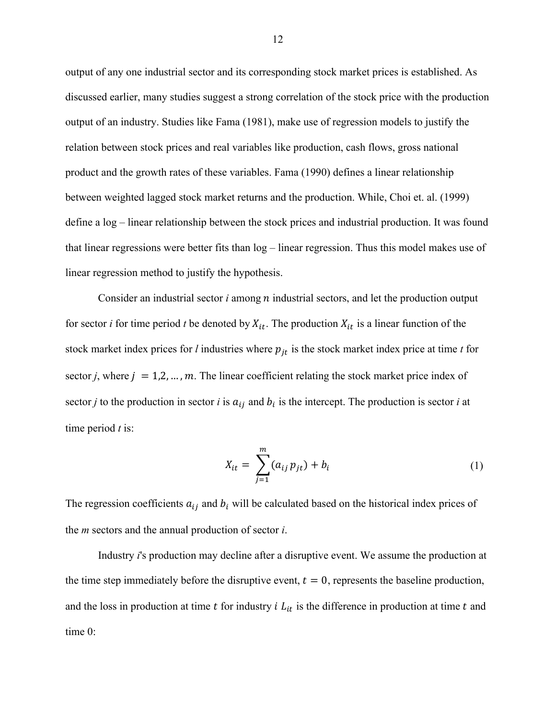output of any one industrial sector and its corresponding stock market prices is established. As discussed earlier, many studies suggest a strong correlation of the stock price with the production output of an industry. Studies like Fama (1981), make use of regression models to justify the relation between stock prices and real variables like production, cash flows, gross national product and the growth rates of these variables. Fama (1990) defines a linear relationship between weighted lagged stock market returns and the production. While, Choi et. al. (1999) define a log – linear relationship between the stock prices and industrial production. It was found that linear regressions were better fits than log – linear regression. Thus this model makes use of linear regression method to justify the hypothesis.

Consider an industrial sector *i* among *n* industrial sectors, and let the production output for sector *i* for time period *t* be denoted by  $X_{it}$ . The production  $X_{it}$  is a linear function of the stock market index prices for *l* industries where  $p_{it}$  is the stock market index price at time *t* for sector *j*, where  $j = 1, 2, ..., m$ . The linear coefficient relating the stock market price index of sector *j* to the production in sector *i* is  $a_{ij}$  and  $b_i$  is the intercept. The production is sector *i* at time period *t* is:

$$
X_{it} = \sum_{j=1}^{m} (a_{ij} p_{jt}) + b_i
$$
 (1)

The regression coefficients  $a_{ij}$  and  $b_i$  will be calculated based on the historical index prices of the *m* sectors and the annual production of sector *i*.

Industry *i*'s production may decline after a disruptive event. We assume the production at the time step immediately before the disruptive event,  $t = 0$ , represents the baseline production, and the loss in production at time  $t$  for industry  $i L_{it}$  is the difference in production at time  $t$  and time 0: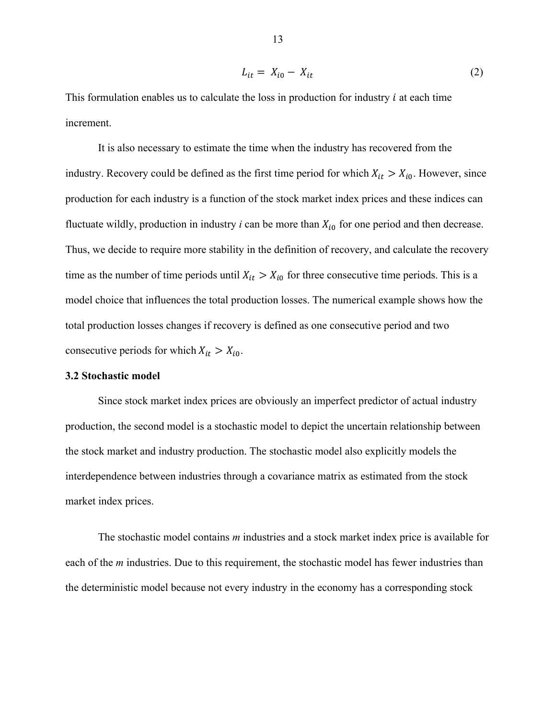$$
L_{it} = X_{i0} - X_{it} \tag{2}
$$

This formulation enables us to calculate the loss in production for industry  $i$  at each time increment.

It is also necessary to estimate the time when the industry has recovered from the industry. Recovery could be defined as the first time period for which  $X_{it} > X_{i0}$ . However, since production for each industry is a function of the stock market index prices and these indices can fluctuate wildly, production in industry  $i$  can be more than  $X_{i0}$  for one period and then decrease. Thus, we decide to require more stability in the definition of recovery, and calculate the recovery time as the number of time periods until  $X_{it} > X_{i0}$  for three consecutive time periods. This is a model choice that influences the total production losses. The numerical example shows how the total production losses changes if recovery is defined as one consecutive period and two consecutive periods for which  $X_{it} > X_{i0}$ .

## **3.2 Stochastic model**

Since stock market index prices are obviously an imperfect predictor of actual industry production, the second model is a stochastic model to depict the uncertain relationship between the stock market and industry production. The stochastic model also explicitly models the interdependence between industries through a covariance matrix as estimated from the stock market index prices.

The stochastic model contains *m* industries and a stock market index price is available for each of the *m* industries. Due to this requirement, the stochastic model has fewer industries than the deterministic model because not every industry in the economy has a corresponding stock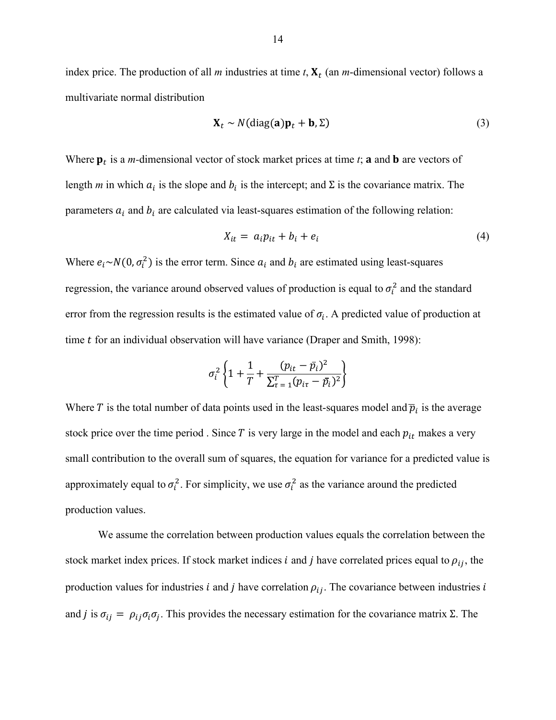index price. The production of all *m* industries at time *t*,  $X_t$  (an *m*-dimensional vector) follows a multivariate normal distribution

$$
\mathbf{X}_t \sim N(\text{diag}(\mathbf{a})\mathbf{p}_t + \mathbf{b}, \Sigma) \tag{3}
$$

Where  $\mathbf{p}_t$  is a *m*-dimensional vector of stock market prices at time *t*; **a** and **b** are vectors of length *m* in which  $a_i$  is the slope and  $b_i$  is the intercept; and  $\Sigma$  is the covariance matrix. The parameters  $a_i$  and  $b_i$  are calculated via least-squares estimation of the following relation:

$$
X_{it} = a_i p_{it} + b_i + e_i \tag{4}
$$

Where  $e_i \sim N(0, \sigma_i^2)$  is the error term. Since  $a_i$  and  $b_i$  are estimated using least-squares regression, the variance around observed values of production is equal to  $\sigma_i^2$  and the standard error from the regression results is the estimated value of  $\sigma_i$ . A predicted value of production at time  $t$  for an individual observation will have variance (Draper and Smith, 1998):

$$
\sigma_i^2\left\{1+\frac{1}{T}+\frac{(p_{it}-\bar{p}_i)^2}{\sum_{\tau=1}^T(p_{i\tau}-\bar{p}_i)^2}\right\}
$$

Where T is the total number of data points used in the least-squares model and  $\bar{p}_i$  is the average stock price over the time period . Since  $T$  is very large in the model and each  $p_{it}$  makes a very small contribution to the overall sum of squares, the equation for variance for a predicted value is approximately equal to  $\sigma_i^2$ . For simplicity, we use  $\sigma_i^2$  as the variance around the predicted production values.

We assume the correlation between production values equals the correlation between the stock market index prices. If stock market indices *i* and *j* have correlated prices equal to  $\rho_{ij}$ , the production values for industries *i* and *j* have correlation  $\rho_{ij}$ . The covariance between industries *i* and *j* is  $\sigma_{ii} = \rho_{ii} \sigma_i \sigma_j$ . This provides the necessary estimation for the covariance matrix Σ. The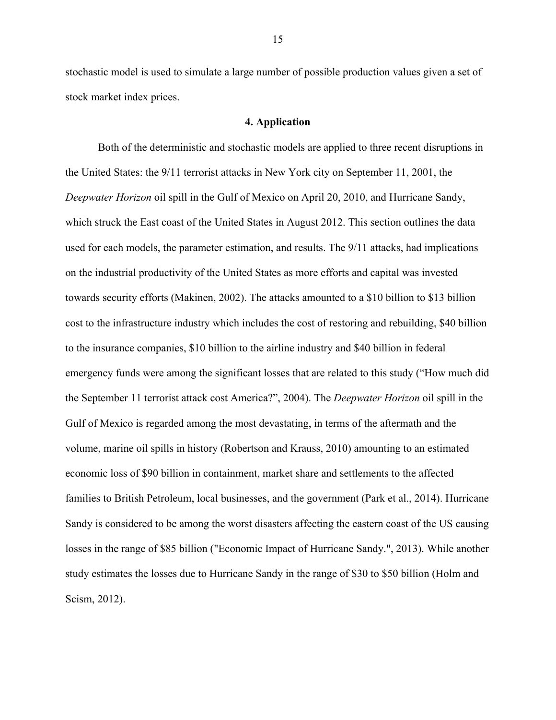stochastic model is used to simulate a large number of possible production values given a set of stock market index prices.

### **4. Application**

Both of the deterministic and stochastic models are applied to three recent disruptions in the United States: the 9/11 terrorist attacks in New York city on September 11, 2001, the *Deepwater Horizon* oil spill in the Gulf of Mexico on April 20, 2010, and Hurricane Sandy, which struck the East coast of the United States in August 2012. This section outlines the data used for each models, the parameter estimation, and results. The 9/11 attacks, had implications on the industrial productivity of the United States as more efforts and capital was invested towards security efforts (Makinen, 2002). The attacks amounted to a \$10 billion to \$13 billion cost to the infrastructure industry which includes the cost of restoring and rebuilding, \$40 billion to the insurance companies, \$10 billion to the airline industry and \$40 billion in federal emergency funds were among the significant losses that are related to this study ("How much did the September 11 terrorist attack cost America?", 2004). The *Deepwater Horizon* oil spill in the Gulf of Mexico is regarded among the most devastating, in terms of the aftermath and the volume, marine oil spills in history (Robertson and Krauss, 2010) amounting to an estimated economic loss of \$90 billion in containment, market share and settlements to the affected families to British Petroleum, local businesses, and the government (Park et al., 2014). Hurricane Sandy is considered to be among the worst disasters affecting the eastern coast of the US causing losses in the range of \$85 billion ("Economic Impact of Hurricane Sandy.", 2013). While another study estimates the losses due to Hurricane Sandy in the range of \$30 to \$50 billion (Holm and Scism, 2012).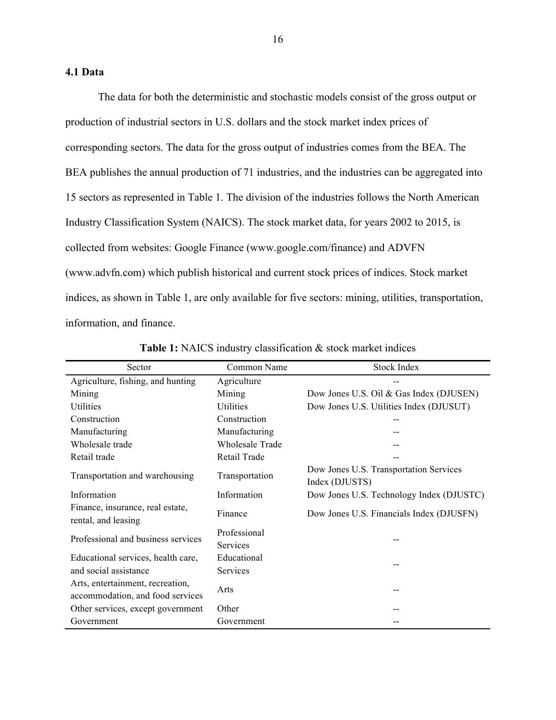## **4.1 Data**

The data for both the deterministic and stochastic models consist of the gross output or production of industrial sectors in U.S. dollars and the stock market index prices of corresponding sectors. The data for the gross output of industries comes from the BEA. The BEA publishes the annual production of 71 industries, and the industries can be aggregated into 15 sectors as represented in Table 1. The division of the industries follows the North American Industry Classification System (NAICS). The stock market data, for years 2002 to 2015, is collected from websites: Google Finance (www.google.com/finance) and ADVFN (www.advfn.com) which publish historical and current stock prices of indices. Stock market indices, as shown in Table 1, are only available for five sectors: mining, utilities, transportation, information, and finance.

| Sector                                                               | Common Name                     | <b>Stock Index</b>                                       |
|----------------------------------------------------------------------|---------------------------------|----------------------------------------------------------|
| Agriculture, fishing, and hunting                                    | Agriculture                     |                                                          |
| Mining                                                               | Mining                          | Dow Jones U.S. Oil & Gas Index (DJUSEN)                  |
| Utilities                                                            | Utilities                       | Dow Jones U.S. Utilities Index (DJUSUT)                  |
| Construction                                                         | Construction                    |                                                          |
| Manufacturing                                                        | Manufacturing                   |                                                          |
| Wholesale trade                                                      | <b>Wholesale Trade</b>          |                                                          |
| Retail trade                                                         | Retail Trade                    |                                                          |
| Transportation and warehousing                                       | Transportation                  | Dow Jones U.S. Transportation Services<br>Index (DJUSTS) |
| Information                                                          | Information                     | Dow Jones U.S. Technology Index (DJUSTC)                 |
| Finance, insurance, real estate,<br>rental, and leasing              | Finance                         | Dow Jones U.S. Financials Index (DJUSFN)                 |
| Professional and business services                                   | Professional<br><b>Services</b> |                                                          |
| Educational services, health care,                                   | Educational                     |                                                          |
| and social assistance                                                | Services                        |                                                          |
| Arts, entertainment, recreation,<br>accommodation, and food services | Arts                            |                                                          |
| Other services, except government                                    | Other                           |                                                          |
| Government                                                           | Government                      |                                                          |

**Table 1:** NAICS industry classification & stock market indices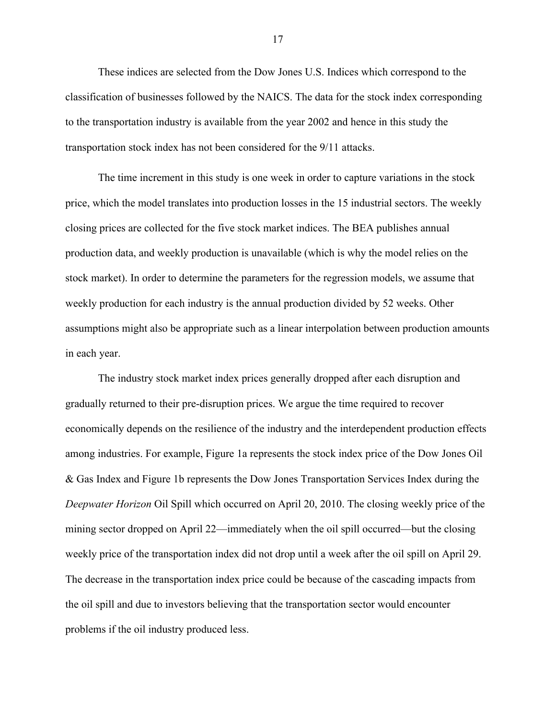These indices are selected from the Dow Jones U.S. Indices which correspond to the classification of businesses followed by the NAICS. The data for the stock index corresponding to the transportation industry is available from the year 2002 and hence in this study the transportation stock index has not been considered for the 9/11 attacks.

The time increment in this study is one week in order to capture variations in the stock price, which the model translates into production losses in the 15 industrial sectors. The weekly closing prices are collected for the five stock market indices. The BEA publishes annual production data, and weekly production is unavailable (which is why the model relies on the stock market). In order to determine the parameters for the regression models, we assume that weekly production for each industry is the annual production divided by 52 weeks. Other assumptions might also be appropriate such as a linear interpolation between production amounts in each year.

The industry stock market index prices generally dropped after each disruption and gradually returned to their pre-disruption prices. We argue the time required to recover economically depends on the resilience of the industry and the interdependent production effects among industries. For example, Figure 1a represents the stock index price of the Dow Jones Oil & Gas Index and Figure 1b represents the Dow Jones Transportation Services Index during the *Deepwater Horizon* Oil Spill which occurred on April 20, 2010. The closing weekly price of the mining sector dropped on April 22—immediately when the oil spill occurred—but the closing weekly price of the transportation index did not drop until a week after the oil spill on April 29. The decrease in the transportation index price could be because of the cascading impacts from the oil spill and due to investors believing that the transportation sector would encounter problems if the oil industry produced less.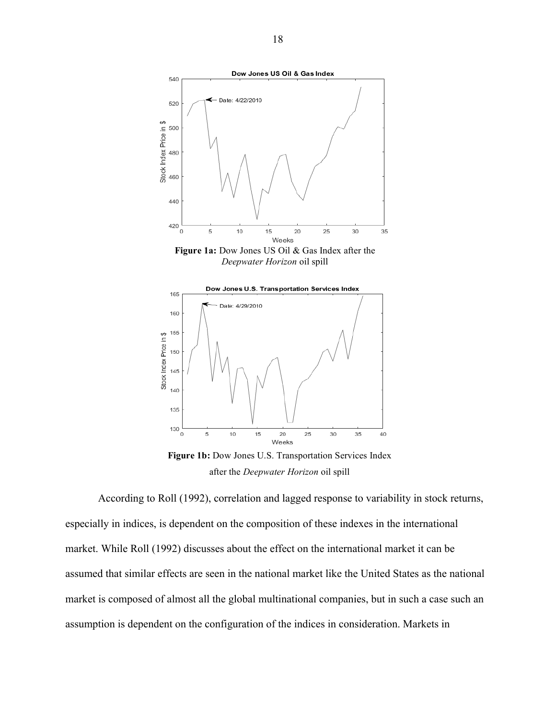

*Deepwater Horizon* oil spill



**Figure 1b:** Dow Jones U.S. Transportation Services Index after the *Deepwater Horizon* oil spill

According to Roll (1992), correlation and lagged response to variability in stock returns, especially in indices, is dependent on the composition of these indexes in the international market. While Roll (1992) discusses about the effect on the international market it can be assumed that similar effects are seen in the national market like the United States as the national market is composed of almost all the global multinational companies, but in such a case such an assumption is dependent on the configuration of the indices in consideration. Markets in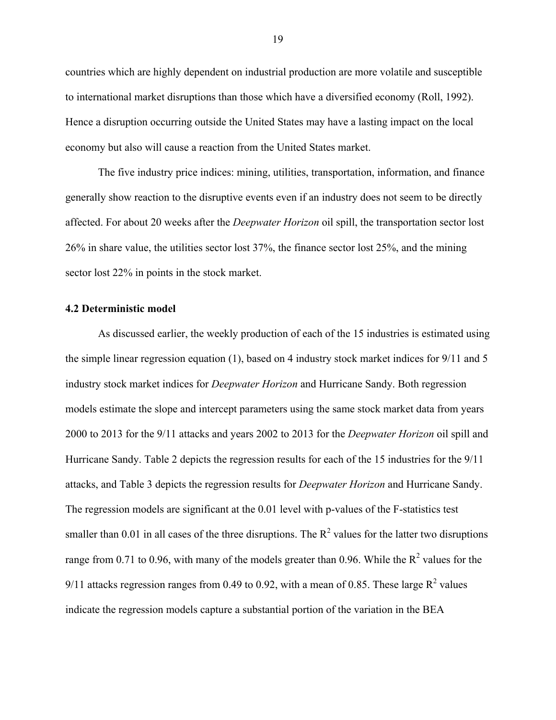countries which are highly dependent on industrial production are more volatile and susceptible to international market disruptions than those which have a diversified economy (Roll, 1992). Hence a disruption occurring outside the United States may have a lasting impact on the local economy but also will cause a reaction from the United States market.

The five industry price indices: mining, utilities, transportation, information, and finance generally show reaction to the disruptive events even if an industry does not seem to be directly affected. For about 20 weeks after the *Deepwater Horizon* oil spill, the transportation sector lost 26% in share value, the utilities sector lost 37%, the finance sector lost 25%, and the mining sector lost 22% in points in the stock market.

### **4.2 Deterministic model**

As discussed earlier, the weekly production of each of the 15 industries is estimated using the simple linear regression equation (1), based on 4 industry stock market indices for 9/11 and 5 industry stock market indices for *Deepwater Horizon* and Hurricane Sandy. Both regression models estimate the slope and intercept parameters using the same stock market data from years 2000 to 2013 for the 9/11 attacks and years 2002 to 2013 for the *Deepwater Horizon* oil spill and Hurricane Sandy. Table 2 depicts the regression results for each of the 15 industries for the 9/11 attacks, and Table 3 depicts the regression results for *Deepwater Horizon* and Hurricane Sandy. The regression models are significant at the 0.01 level with p-values of the F-statistics test smaller than 0.01 in all cases of the three disruptions. The  $R^2$  values for the latter two disruptions range from 0.71 to 0.96, with many of the models greater than 0.96. While the  $R^2$  values for the 9/11 attacks regression ranges from 0.49 to 0.92, with a mean of 0.85. These large  $R^2$  values indicate the regression models capture a substantial portion of the variation in the BEA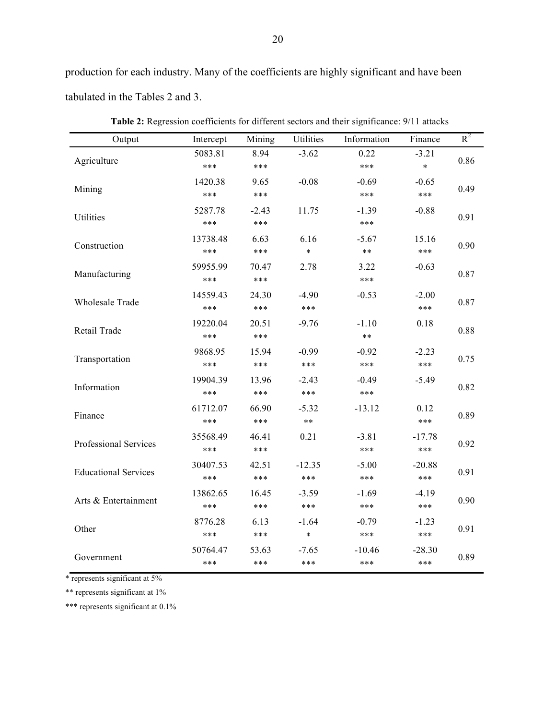production for each industry. Many of the coefficients are highly significant and have been tabulated in the Tables 2 and 3.

| Output                      | Intercept | Mining  | <b>Utilities</b> | Information | Finance  | $R^2$ |  |
|-----------------------------|-----------|---------|------------------|-------------|----------|-------|--|
| Agriculture                 | 5083.81   | 8.94    | $-3.62$          | 0.22        | $-3.21$  | 0.86  |  |
|                             | ***       | ***     |                  | ***         | $\ast$   |       |  |
| Mining                      | 1420.38   | 9.65    | $-0.08$          | $-0.69$     | $-0.65$  | 0.49  |  |
|                             | ***       | ***     |                  | ***         | ***      |       |  |
| Utilities                   | 5287.78   | $-2.43$ | 11.75            | $-1.39$     | $-0.88$  | 0.91  |  |
|                             | ***       | ***     |                  | ***         |          |       |  |
|                             | 13738.48  | 6.63    | 6.16             | $-5.67$     | 15.16    |       |  |
| Construction                | ***       | ***     | $\ast$           | $***$       | ***      | 0.90  |  |
|                             | 59955.99  | 70.47   | 2.78             | 3.22        | $-0.63$  |       |  |
| Manufacturing               | ***       | ***     |                  | ***         |          | 0.87  |  |
|                             | 14559.43  | 24.30   | $-4.90$          | $-0.53$     | $-2.00$  |       |  |
| <b>Wholesale Trade</b>      | ***       | ***     | ***              |             | ***      | 0.87  |  |
|                             | 19220.04  | 20.51   | $-9.76$          | $-1.10$     | 0.18     |       |  |
| Retail Trade                | ***       | ***     |                  | $***$       |          | 0.88  |  |
|                             | 9868.95   | 15.94   | $-0.99$          | $-0.92$     | $-2.23$  | 0.75  |  |
| Transportation              | ***       | ***     | ***              | ***         | ***      |       |  |
|                             | 19904.39  | 13.96   | $-2.43$          | $-0.49$     | $-5.49$  |       |  |
| Information                 | ***       | ***     | ***              | ***         |          | 0.82  |  |
|                             | 61712.07  | 66.90   | $-5.32$          | $-13.12$    | 0.12     |       |  |
| Finance                     | ***       | ***     | $***$            |             | ***      | 0.89  |  |
|                             | 35568.49  | 46.41   | 0.21             | $-3.81$     | $-17.78$ |       |  |
| Professional Services       | ***       | ***     |                  | ***         | ***      | 0.92  |  |
|                             | 30407.53  | 42.51   | $-12.35$         | $-5.00$     | $-20.88$ |       |  |
| <b>Educational Services</b> | ***       | ***     | ***              | ***         | ***      | 0.91  |  |
|                             | 13862.65  | 16.45   | $-3.59$          | $-1.69$     | $-4.19$  |       |  |
| Arts & Entertainment        | ***       | ***     | ***              | ***         | ***      | 0.90  |  |
|                             | 8776.28   | 6.13    | $-1.64$          | $-0.79$     | $-1.23$  |       |  |
| Other                       | ***       | ***     | $\ast$           | ***         | ***      | 0.91  |  |
|                             | 50764.47  | 53.63   | $-7.65$          | $-10.46$    | $-28.30$ |       |  |
| Government                  | ***       | ***     | ***              | ***         | ***      | 0.89  |  |

**Table 2:** Regression coefficients for different sectors and their significance: 9/11 attacks

\* represents significant at 5%

\*\* represents significant at 1%

\*\*\* represents significant at 0.1%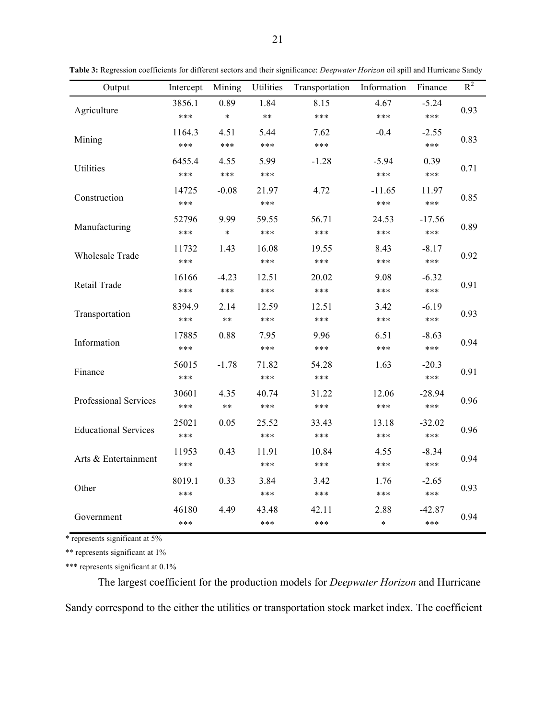| Output                      | Intercept | Mining  | Utilities | Transportation | Information | Finance  | $R^2$ |
|-----------------------------|-----------|---------|-----------|----------------|-------------|----------|-------|
|                             | 3856.1    | 0.89    | 1.84      | 8.15           | 4.67        | $-5.24$  | 0.93  |
| Agriculture                 | ***       | $\ast$  | $***$     | ***            | ***         | ***      |       |
|                             | 1164.3    | 4.51    | 5.44      | 7.62           | $-0.4$      | $-2.55$  | 0.83  |
| Mining                      | ***       | ***     | ***       | ***            |             | ***      |       |
| Utilities                   | 6455.4    | 4.55    | 5.99      | $-1.28$        | $-5.94$     | 0.39     | 0.71  |
|                             | ***       | ***     | ***       |                | ***         | ***      |       |
| Construction                | 14725     | $-0.08$ | 21.97     | 4.72           | $-11.65$    | 11.97    | 0.85  |
|                             | ***       |         | ***       |                | ***         | ***      |       |
|                             | 52796     | 9.99    | 59.55     | 56.71          | 24.53       | $-17.56$ |       |
| Manufacturing               | ***       | $\ast$  | ***       | ***            | ***         | ***      | 0.89  |
| <b>Wholesale Trade</b>      | 11732     | 1.43    | 16.08     | 19.55          | 8.43        | $-8.17$  | 0.92  |
|                             | ***       |         | ***       | ***            | ***         | ***      |       |
|                             | 16166     | $-4.23$ | 12.51     | 20.02          | 9.08        | $-6.32$  |       |
| Retail Trade                | ***       | ***     | ***       | ***            | ***         | ***      | 0.91  |
| Transportation              | 8394.9    | 2.14    | 12.59     | 12.51          | 3.42        | $-6.19$  | 0.93  |
|                             | ***       | $***$   | ***       | ***            | ***         | ***      |       |
|                             | 17885     | 0.88    | 7.95      | 9.96           | 6.51        | $-8.63$  | 0.94  |
| Information                 | ***       |         | ***       | ***            | ***         | ***      |       |
| Finance                     | 56015     | $-1.78$ | 71.82     | 54.28          | 1.63        | $-20.3$  | 0.91  |
|                             | ***       |         | ***       | ***            |             | ***      |       |
| Professional Services       | 30601     | 4.35    | 40.74     | 31.22          | 12.06       | $-28.94$ | 0.96  |
|                             | ***       | $***$   | ***       | ***            | ***         | ***      |       |
| <b>Educational Services</b> | 25021     | 0.05    | 25.52     | 33.43          | 13.18       | $-32.02$ | 0.96  |
|                             | ***       |         | ***       | ***            | ***         | ***      |       |
| Arts & Entertainment        | 11953     | 0.43    | 11.91     | 10.84          | 4.55        | $-8.34$  | 0.94  |
|                             | ***       |         | ***       | ***            | ***         | ***      |       |
| Other                       | 8019.1    | 0.33    | 3.84      | 3.42           | 1.76        | $-2.65$  | 0.93  |
|                             | ***       |         | ***       | ***            | ***         | ***      |       |
|                             | 46180     | 4.49    | 43.48     | 42.11          | 2.88        | $-42.87$ |       |
| Government                  | ***       |         | ***       | ***            | $\ast$      | ***      | 0.94  |

**Table 3:** Regression coefficients for different sectors and their significance: *Deepwater Horizon* oil spill and Hurricane Sandy

\* represents significant at 5%

\*\* represents significant at 1%

\*\*\* represents significant at 0.1%

The largest coefficient for the production models for *Deepwater Horizon* and Hurricane Sandy correspond to the either the utilities or transportation stock market index. The coefficient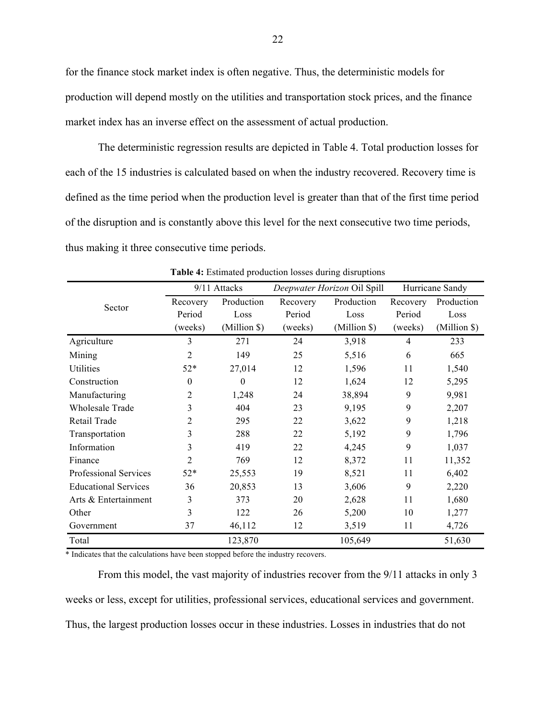for the finance stock market index is often negative. Thus, the deterministic models for production will depend mostly on the utilities and transportation stock prices, and the finance market index has an inverse effect on the assessment of actual production.

The deterministic regression results are depicted in Table 4. Total production losses for each of the 15 industries is calculated based on when the industry recovered. Recovery time is defined as the time period when the production level is greater than that of the first time period of the disruption and is constantly above this level for the next consecutive two time periods, thus making it three consecutive time periods.

|                              | 9/11 Attacks   |              |          | Deepwater Horizon Oil Spill | Hurricane Sandy |              |
|------------------------------|----------------|--------------|----------|-----------------------------|-----------------|--------------|
| Sector                       | Recovery       | Production   | Recovery | Production                  | Recovery        | Production   |
|                              | Period         | Loss         | Period   | Loss                        | Period          | Loss         |
|                              | (weeks)        | (Million \$) | (weeks)  | (Million \$)                | (weeks)         | (Million \$) |
| Agriculture                  | 3              | 271          | 24       | 3,918                       | 4               | 233          |
| Mining                       | $\overline{2}$ | 149          | 25       | 5,516                       | 6               | 665          |
| Utilities                    | $52*$          | 27,014       | 12       | 1,596                       | 11              | 1,540        |
| Construction                 | $\theta$       | $\theta$     | 12       | 1,624                       | 12              | 5,295        |
| Manufacturing                | 2              | 1,248        | 24       | 38,894                      | 9               | 9,981        |
| <b>Wholesale Trade</b>       | 3              | 404          | 23       | 9,195                       | 9               | 2,207        |
| Retail Trade                 | 2              | 295          | 22       | 3,622                       | 9               | 1,218        |
| Transportation               | 3              | 288          | 22       | 5,192                       | 9               | 1,796        |
| Information                  | 3              | 419          | 22       | 4,245                       | 9               | 1,037        |
| Finance                      | 2              | 769          | 12       | 8,372                       | 11              | 11,352       |
| <b>Professional Services</b> | $52*$          | 25,553       | 19       | 8,521                       | 11              | 6,402        |
| <b>Educational Services</b>  | 36             | 20,853       | 13       | 3,606                       | 9               | 2,220        |
| Arts & Entertainment         | 3              | 373          | 20       | 2,628                       | 11              | 1,680        |
| Other                        | 3              | 122          | 26       | 5,200                       | 10              | 1,277        |
| Government                   | 37             | 46,112       | 12       | 3,519                       | 11              | 4,726        |
| Total                        |                | 123,870      |          | 105,649                     |                 | 51,630       |

**Table 4:** Estimated production losses during disruptions

\* Indicates that the calculations have been stopped before the industry recovers.

From this model, the vast majority of industries recover from the 9/11 attacks in only 3 weeks or less, except for utilities, professional services, educational services and government. Thus, the largest production losses occur in these industries. Losses in industries that do not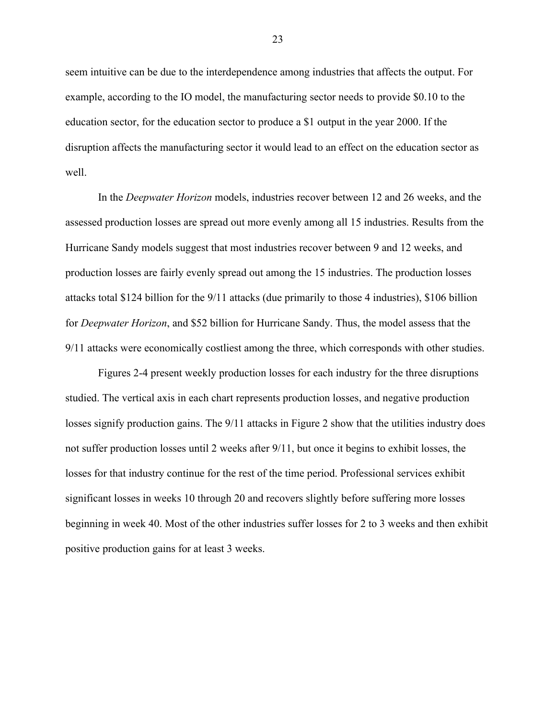seem intuitive can be due to the interdependence among industries that affects the output. For example, according to the IO model, the manufacturing sector needs to provide \$0.10 to the education sector, for the education sector to produce a \$1 output in the year 2000. If the disruption affects the manufacturing sector it would lead to an effect on the education sector as well.

In the *Deepwater Horizon* models, industries recover between 12 and 26 weeks, and the assessed production losses are spread out more evenly among all 15 industries. Results from the Hurricane Sandy models suggest that most industries recover between 9 and 12 weeks, and production losses are fairly evenly spread out among the 15 industries. The production losses attacks total \$124 billion for the 9/11 attacks (due primarily to those 4 industries), \$106 billion for *Deepwater Horizon*, and \$52 billion for Hurricane Sandy. Thus, the model assess that the 9/11 attacks were economically costliest among the three, which corresponds with other studies.

Figures 2-4 present weekly production losses for each industry for the three disruptions studied. The vertical axis in each chart represents production losses, and negative production losses signify production gains. The  $9/11$  attacks in Figure 2 show that the utilities industry does not suffer production losses until 2 weeks after 9/11, but once it begins to exhibit losses, the losses for that industry continue for the rest of the time period. Professional services exhibit significant losses in weeks 10 through 20 and recovers slightly before suffering more losses beginning in week 40. Most of the other industries suffer losses for 2 to 3 weeks and then exhibit positive production gains for at least 3 weeks.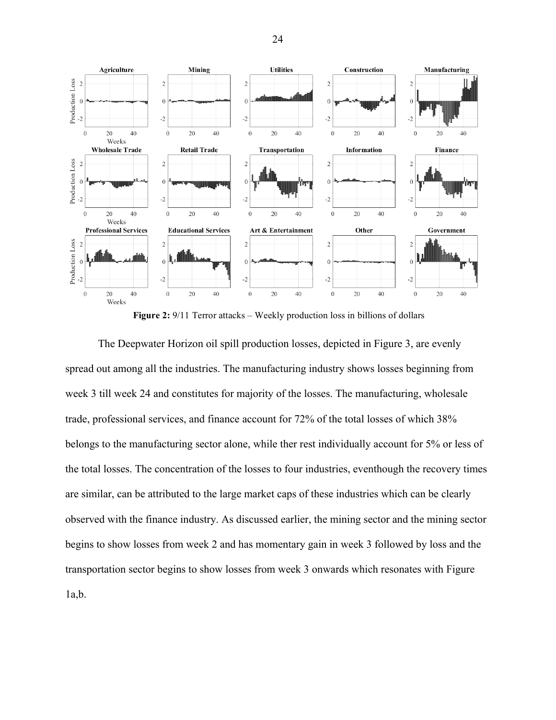

**Figure 2:** 9/11 Terror attacks – Weekly production loss in billions of dollars

The Deepwater Horizon oil spill production losses, depicted in Figure 3, are evenly spread out among all the industries. The manufacturing industry shows losses beginning from week 3 till week 24 and constitutes for majority of the losses. The manufacturing, wholesale trade, professional services, and finance account for 72% of the total losses of which 38% belongs to the manufacturing sector alone, while ther rest individually account for 5% or less of the total losses. The concentration of the losses to four industries, eventhough the recovery times are similar, can be attributed to the large market caps of these industries which can be clearly observed with the finance industry. As discussed earlier, the mining sector and the mining sector begins to show losses from week 2 and has momentary gain in week 3 followed by loss and the transportation sector begins to show losses from week 3 onwards which resonates with Figure  $1a,b.$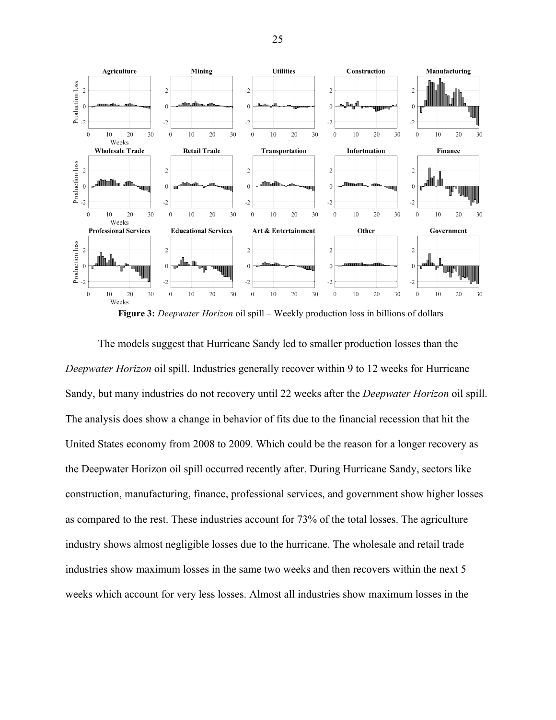

The models suggest that Hurricane Sandy led to smaller production losses than the *Deepwater Horizon* oil spill. Industries generally recover within 9 to 12 weeks for Hurricane Sandy, but many industries do not recovery until 22 weeks after the *Deepwater Horizon* oil spill. The analysis does show a change in behavior of fits due to the financial recession that hit the United States economy from 2008 to 2009. Which could be the reason for a longer recovery as the Deepwater Horizon oil spill occurred recently after. During Hurricane Sandy, sectors like construction, manufacturing, finance, professional services, and government show higher losses as compared to the rest. These industries account for 73% of the total losses. The agriculture industry shows almost negligible losses due to the hurricane. The wholesale and retail trade industries show maximum losses in the same two weeks and then recovers within the next 5 weeks which account for very less losses. Almost all industries show maximum losses in the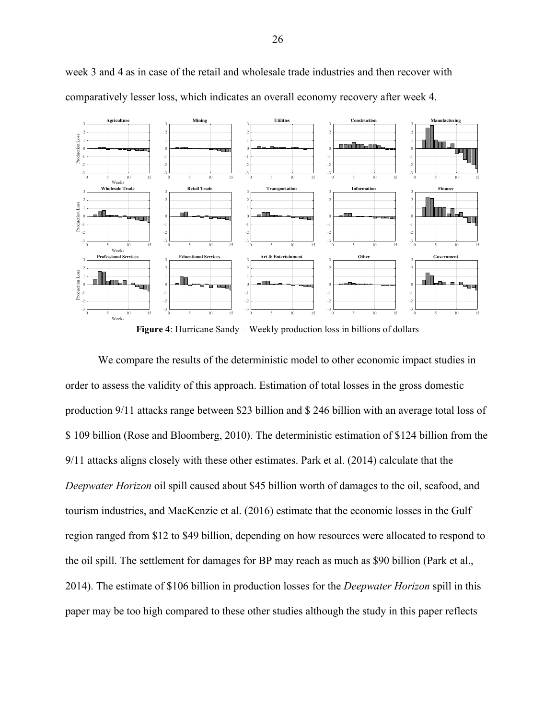

week 3 and 4 as in case of the retail and wholesale trade industries and then recover with comparatively lesser loss, which indicates an overall economy recovery after week 4.

**Figure 4**: Hurricane Sandy – Weekly production loss in billions of dollars

We compare the results of the deterministic model to other economic impact studies in order to assess the validity of this approach. Estimation of total losses in the gross domestic production 9/11 attacks range between \$23 billion and \$ 246 billion with an average total loss of \$ 109 billion (Rose and Bloomberg, 2010). The deterministic estimation of \$124 billion from the 9/11 attacks aligns closely with these other estimates. Park et al. (2014) calculate that the *Deepwater Horizon* oil spill caused about \$45 billion worth of damages to the oil, seafood, and tourism industries, and MacKenzie et al. (2016) estimate that the economic losses in the Gulf region ranged from \$12 to \$49 billion, depending on how resources were allocated to respond to the oil spill. The settlement for damages for BP may reach as much as \$90 billion (Park et al., 2014). The estimate of \$106 billion in production losses for the *Deepwater Horizon* spill in this paper may be too high compared to these other studies although the study in this paper reflects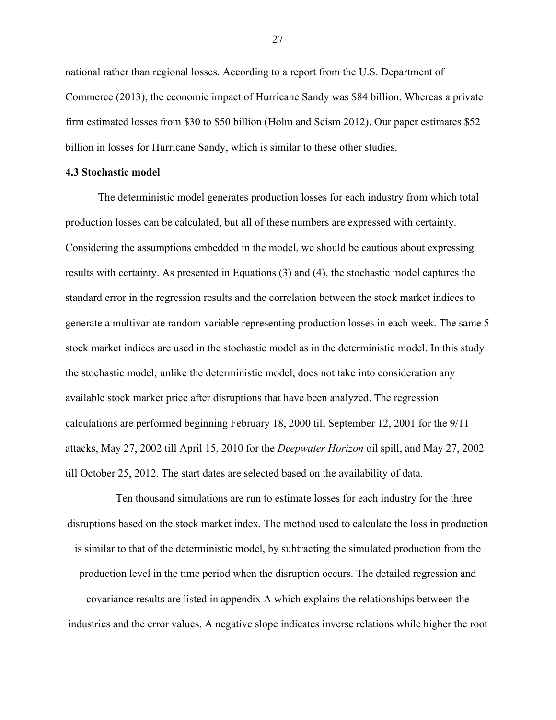national rather than regional losses. According to a report from the U.S. Department of Commerce (2013), the economic impact of Hurricane Sandy was \$84 billion. Whereas a private firm estimated losses from \$30 to \$50 billion (Holm and Scism 2012). Our paper estimates \$52 billion in losses for Hurricane Sandy, which is similar to these other studies.

### **4.3 Stochastic model**

The deterministic model generates production losses for each industry from which total production losses can be calculated, but all of these numbers are expressed with certainty. Considering the assumptions embedded in the model, we should be cautious about expressing results with certainty. As presented in Equations (3) and (4), the stochastic model captures the standard error in the regression results and the correlation between the stock market indices to generate a multivariate random variable representing production losses in each week. The same 5 stock market indices are used in the stochastic model as in the deterministic model. In this study the stochastic model, unlike the deterministic model, does not take into consideration any available stock market price after disruptions that have been analyzed. The regression calculations are performed beginning February 18, 2000 till September 12, 2001 for the 9/11 attacks, May 27, 2002 till April 15, 2010 for the *Deepwater Horizon* oil spill, and May 27, 2002 till October 25, 2012. The start dates are selected based on the availability of data.

Ten thousand simulations are run to estimate losses for each industry for the three disruptions based on the stock market index. The method used to calculate the loss in production is similar to that of the deterministic model, by subtracting the simulated production from the production level in the time period when the disruption occurs. The detailed regression and covariance results are listed in appendix A which explains the relationships between the industries and the error values. A negative slope indicates inverse relations while higher the root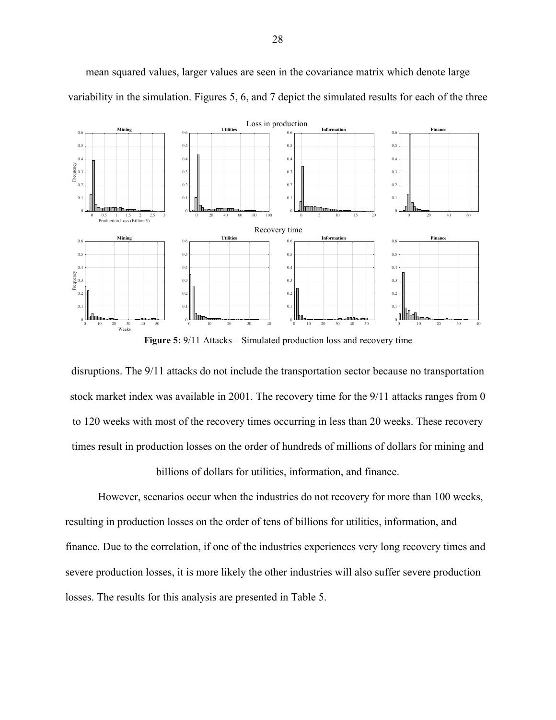

mean squared values, larger values are seen in the covariance matrix which denote large variability in the simulation. Figures 5, 6, and 7 depict the simulated results for each of the three

**Figure 5:** 9/11 Attacks – Simulated production loss and recovery time

disruptions. The 9/11 attacks do not include the transportation sector because no transportation stock market index was available in 2001. The recovery time for the 9/11 attacks ranges from 0 to 120 weeks with most of the recovery times occurring in less than 20 weeks. These recovery times result in production losses on the order of hundreds of millions of dollars for mining and

billions of dollars for utilities, information, and finance.

However, scenarios occur when the industries do not recovery for more than 100 weeks, resulting in production losses on the order of tens of billions for utilities, information, and finance. Due to the correlation, if one of the industries experiences very long recovery times and severe production losses, it is more likely the other industries will also suffer severe production losses. The results for this analysis are presented in Table 5.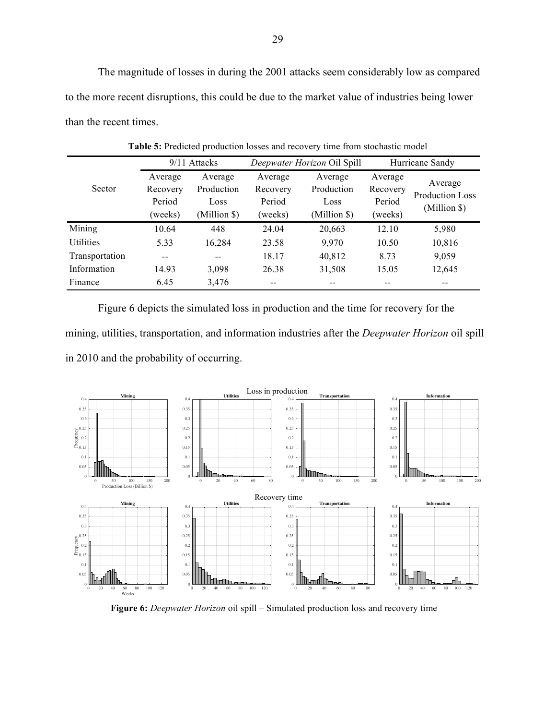The magnitude of losses in during the 2001 attacks seem considerably low as compared to the more recent disruptions, this could be due to the market value of industries being lower than the recent times.

|                |          | 9/11 Attacks | Deepwater Horizon Oil Spill |              | Hurricane Sandy |                                   |
|----------------|----------|--------------|-----------------------------|--------------|-----------------|-----------------------------------|
|                | Average  | Average      | Average                     | Average      | Average         |                                   |
| Sector         | Recovery | Production   | Recovery                    | Production   | Recovery        | Average<br><b>Production Loss</b> |
|                | Period   | Loss         | Period                      | Loss         | Period          |                                   |
|                | (weeks)  | (Million \$) | (weeks)                     | (Million \$) | (weeks)         | (Million \$)                      |
| Mining         | 10.64    | 448          | 24.04                       | 20,663       | 12.10           | 5,980                             |
| Utilities      | 5.33     | 16,284       | 23.58                       | 9,970        | 10.50           | 10,816                            |
| Transportation | $- -$    | $- -$        | 18.17                       | 40,812       | 8.73            | 9,059                             |
| Information    | 14.93    | 3,098        | 26.38                       | 31,508       | 15.05           | 12,645                            |
| Finance        | 6.45     | 3,476        | --                          | --           | --              | --                                |
|                |          |              |                             |              |                 |                                   |

**Table 5:** Predicted production losses and recovery time from stochastic model

Figure 6 depicts the simulated loss in production and the time for recovery for the mining, utilities, transportation, and information industries after the *Deepwater Horizon* oil spill in 2010 and the probability of occurring.



**Figure 6:** *Deepwater Horizon* oil spill – Simulated production loss and recovery time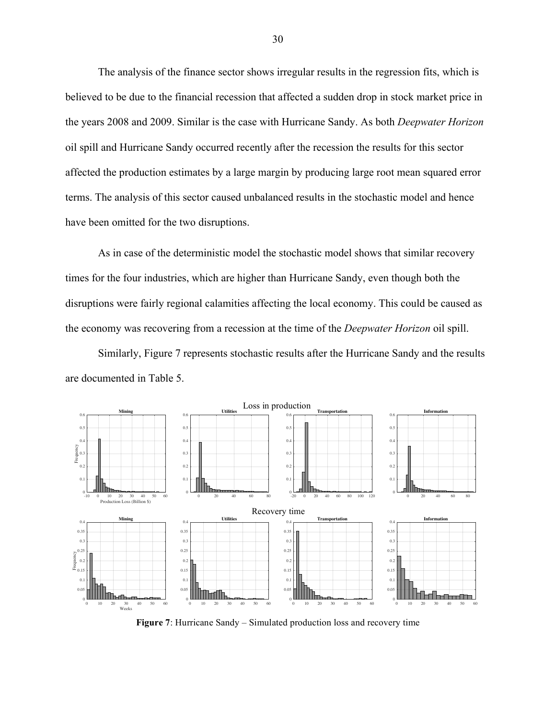The analysis of the finance sector shows irregular results in the regression fits, which is believed to be due to the financial recession that affected a sudden drop in stock market price in the years 2008 and 2009. Similar is the case with Hurricane Sandy. As both *Deepwater Horizon* oil spill and Hurricane Sandy occurred recently after the recession the results for this sector affected the production estimates by a large margin by producing large root mean squared error terms. The analysis of this sector caused unbalanced results in the stochastic model and hence have been omitted for the two disruptions.

As in case of the deterministic model the stochastic model shows that similar recovery times for the four industries, which are higher than Hurricane Sandy, even though both the disruptions were fairly regional calamities affecting the local economy. This could be caused as the economy was recovering from a recession at the time of the *Deepwater Horizon* oil spill.

Similarly, Figure 7 represents stochastic results after the Hurricane Sandy and the results are documented in Table 5.



**Figure 7**: Hurricane Sandy – Simulated production loss and recovery time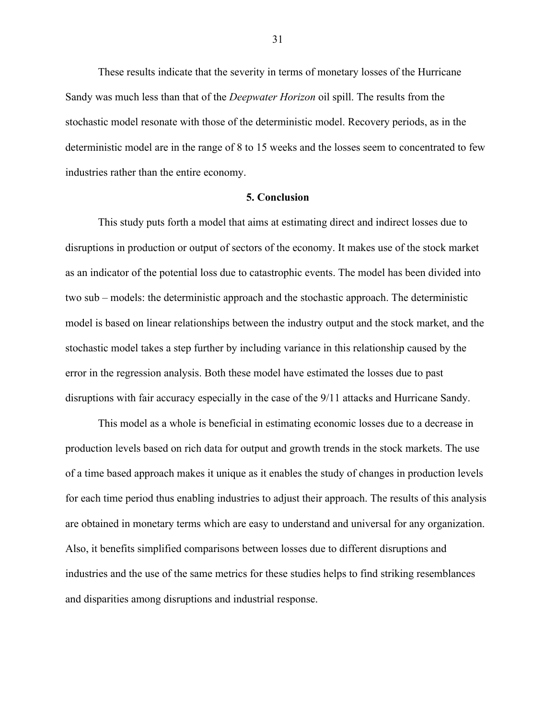These results indicate that the severity in terms of monetary losses of the Hurricane Sandy was much less than that of the *Deepwater Horizon* oil spill. The results from the stochastic model resonate with those of the deterministic model. Recovery periods, as in the deterministic model are in the range of 8 to 15 weeks and the losses seem to concentrated to few industries rather than the entire economy.

#### **5. Conclusion**

This study puts forth a model that aims at estimating direct and indirect losses due to disruptions in production or output of sectors of the economy. It makes use of the stock market as an indicator of the potential loss due to catastrophic events. The model has been divided into two sub – models: the deterministic approach and the stochastic approach. The deterministic model is based on linear relationships between the industry output and the stock market, and the stochastic model takes a step further by including variance in this relationship caused by the error in the regression analysis. Both these model have estimated the losses due to past disruptions with fair accuracy especially in the case of the 9/11 attacks and Hurricane Sandy.

This model as a whole is beneficial in estimating economic losses due to a decrease in production levels based on rich data for output and growth trends in the stock markets. The use of a time based approach makes it unique as it enables the study of changes in production levels for each time period thus enabling industries to adjust their approach. The results of this analysis are obtained in monetary terms which are easy to understand and universal for any organization. Also, it benefits simplified comparisons between losses due to different disruptions and industries and the use of the same metrics for these studies helps to find striking resemblances and disparities among disruptions and industrial response.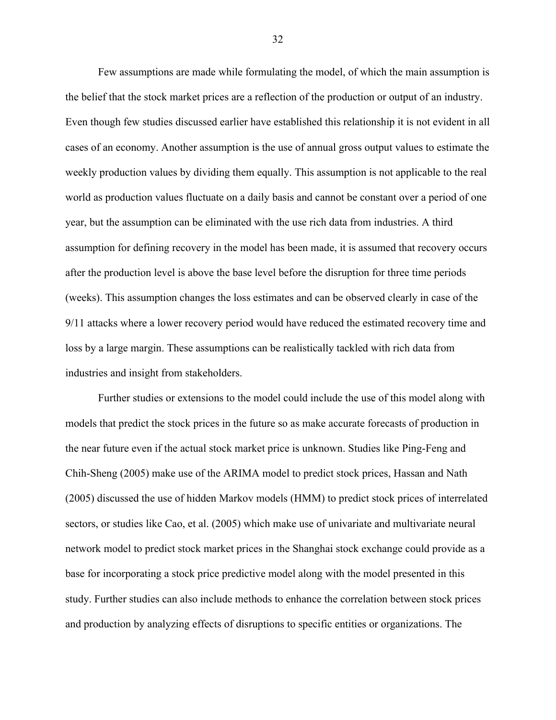Few assumptions are made while formulating the model, of which the main assumption is the belief that the stock market prices are a reflection of the production or output of an industry. Even though few studies discussed earlier have established this relationship it is not evident in all cases of an economy. Another assumption is the use of annual gross output values to estimate the weekly production values by dividing them equally. This assumption is not applicable to the real world as production values fluctuate on a daily basis and cannot be constant over a period of one year, but the assumption can be eliminated with the use rich data from industries. A third assumption for defining recovery in the model has been made, it is assumed that recovery occurs after the production level is above the base level before the disruption for three time periods (weeks). This assumption changes the loss estimates and can be observed clearly in case of the 9/11 attacks where a lower recovery period would have reduced the estimated recovery time and loss by a large margin. These assumptions can be realistically tackled with rich data from industries and insight from stakeholders.

Further studies or extensions to the model could include the use of this model along with models that predict the stock prices in the future so as make accurate forecasts of production in the near future even if the actual stock market price is unknown. Studies like Ping-Feng and Chih-Sheng (2005) make use of the ARIMA model to predict stock prices, Hassan and Nath (2005) discussed the use of hidden Markov models (HMM) to predict stock prices of interrelated sectors, or studies like Cao, et al. (2005) which make use of univariate and multivariate neural network model to predict stock market prices in the Shanghai stock exchange could provide as a base for incorporating a stock price predictive model along with the model presented in this study. Further studies can also include methods to enhance the correlation between stock prices and production by analyzing effects of disruptions to specific entities or organizations. The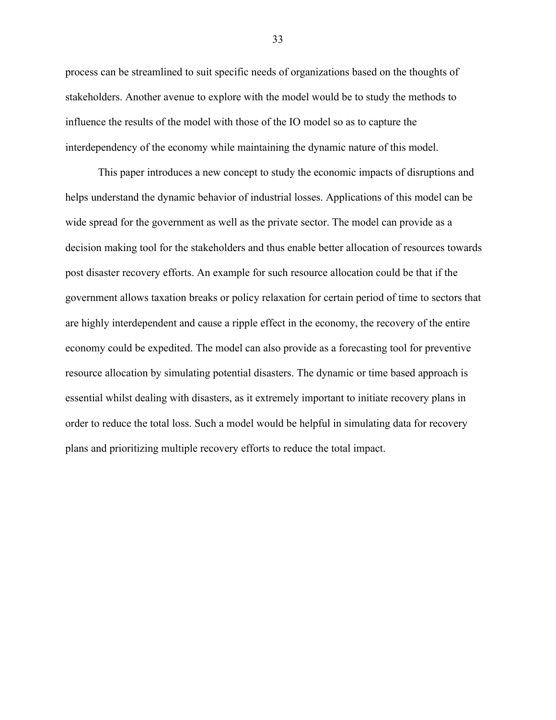process can be streamlined to suit specific needs of organizations based on the thoughts of stakeholders. Another avenue to explore with the model would be to study the methods to influence the results of the model with those of the IO model so as to capture the interdependency of the economy while maintaining the dynamic nature of this model.

This paper introduces a new concept to study the economic impacts of disruptions and helps understand the dynamic behavior of industrial losses. Applications of this model can be wide spread for the government as well as the private sector. The model can provide as a decision making tool for the stakeholders and thus enable better allocation of resources towards post disaster recovery efforts. An example for such resource allocation could be that if the government allows taxation breaks or policy relaxation for certain period of time to sectors that are highly interdependent and cause a ripple effect in the economy, the recovery of the entire economy could be expedited. The model can also provide as a forecasting tool for preventive resource allocation by simulating potential disasters. The dynamic or time based approach is essential whilst dealing with disasters, as it extremely important to initiate recovery plans in order to reduce the total loss. Such a model would be helpful in simulating data for recovery plans and prioritizing multiple recovery efforts to reduce the total impact.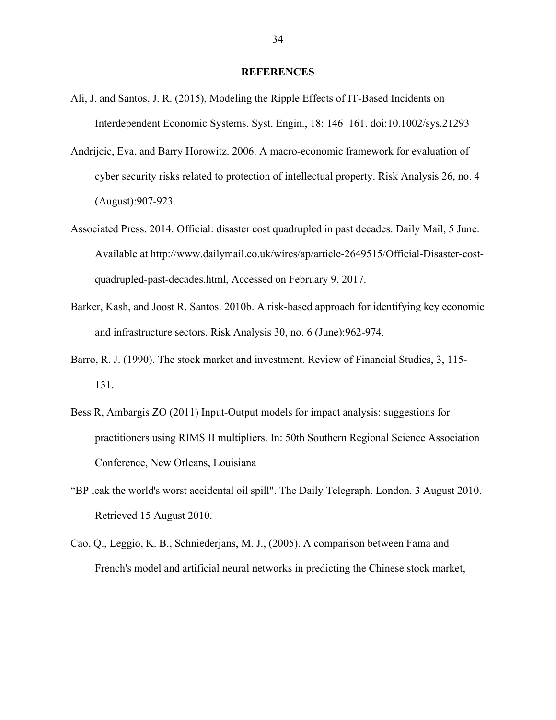#### **REFERENCES**

- Ali, J. and Santos, J. R. (2015), Modeling the Ripple Effects of IT-Based Incidents on Interdependent Economic Systems. Syst. Engin., 18: 146–161. doi:10.1002/sys.21293
- Andrijcic, Eva, and Barry Horowitz. 2006. A macro-economic framework for evaluation of cyber security risks related to protection of intellectual property. Risk Analysis 26, no. 4 (August):907-923.
- Associated Press. 2014. Official: disaster cost quadrupled in past decades. Daily Mail, 5 June. Available at http://www.dailymail.co.uk/wires/ap/article-2649515/Official-Disaster-costquadrupled-past-decades.html, Accessed on February 9, 2017.
- Barker, Kash, and Joost R. Santos. 2010b. A risk-based approach for identifying key economic and infrastructure sectors. Risk Analysis 30, no. 6 (June):962-974.
- Barro, R. J. (1990). The stock market and investment. Review of Financial Studies, 3, 115- 131.
- Bess R, Ambargis ZO (2011) Input-Output models for impact analysis: suggestions for practitioners using RIMS II multipliers. In: 50th Southern Regional Science Association Conference, New Orleans, Louisiana
- "BP leak the world's worst accidental oil spill". The Daily Telegraph. London. 3 August 2010. Retrieved 15 August 2010.
- Cao, Q., Leggio, K. B., Schniederjans, M. J., (2005). A comparison between Fama and French's model and artificial neural networks in predicting the Chinese stock market,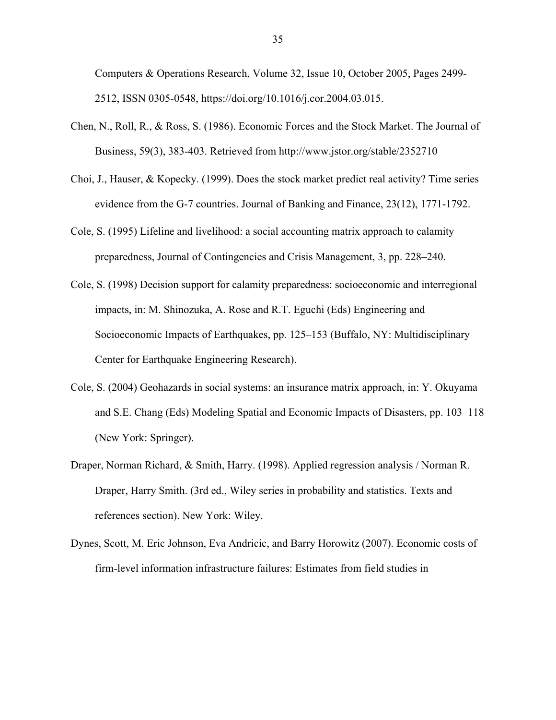Computers & Operations Research, Volume 32, Issue 10, October 2005, Pages 2499- 2512, ISSN 0305-0548, https://doi.org/10.1016/j.cor.2004.03.015.

- Chen, N., Roll, R., & Ross, S. (1986). Economic Forces and the Stock Market. The Journal of Business, 59(3), 383-403. Retrieved from http://www.jstor.org/stable/2352710
- Choi, J., Hauser, & Kopecky. (1999). Does the stock market predict real activity? Time series evidence from the G-7 countries. Journal of Banking and Finance, 23(12), 1771-1792.
- Cole, S. (1995) Lifeline and livelihood: a social accounting matrix approach to calamity preparedness, Journal of Contingencies and Crisis Management, 3, pp. 228–240.
- Cole, S. (1998) Decision support for calamity preparedness: socioeconomic and interregional impacts, in: M. Shinozuka, A. Rose and R.T. Eguchi (Eds) Engineering and Socioeconomic Impacts of Earthquakes, pp. 125–153 (Buffalo, NY: Multidisciplinary Center for Earthquake Engineering Research).
- Cole, S. (2004) Geohazards in social systems: an insurance matrix approach, in: Y. Okuyama and S.E. Chang (Eds) Modeling Spatial and Economic Impacts of Disasters, pp. 103–118 (New York: Springer).
- Draper, Norman Richard, & Smith, Harry. (1998). Applied regression analysis / Norman R. Draper, Harry Smith. (3rd ed., Wiley series in probability and statistics. Texts and references section). New York: Wiley.
- Dynes, Scott, M. Eric Johnson, Eva Andricic, and Barry Horowitz (2007). Economic costs of firm-level information infrastructure failures: Estimates from field studies in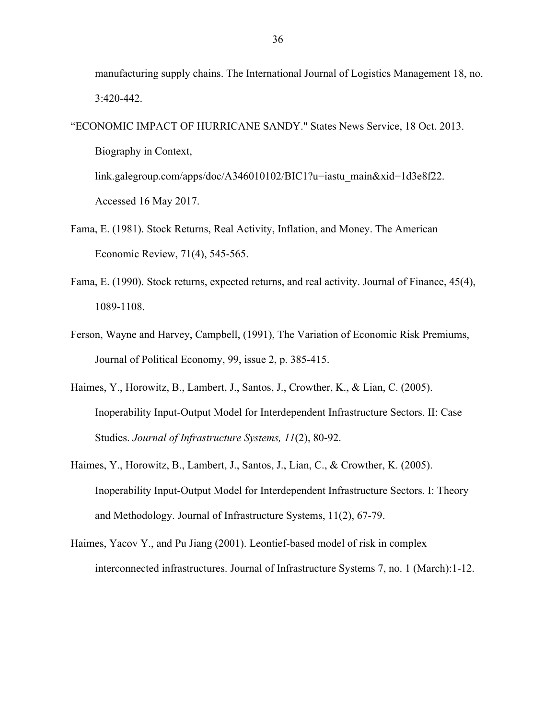manufacturing supply chains. The International Journal of Logistics Management 18, no. 3:420-442.

"ECONOMIC IMPACT OF HURRICANE SANDY." States News Service, 18 Oct. 2013. Biography in Context,

link.galegroup.com/apps/doc/A346010102/BIC1?u=iastu\_main&xid=1d3e8f22. Accessed 16 May 2017.

- Fama, E. (1981). Stock Returns, Real Activity, Inflation, and Money. The American Economic Review, 71(4), 545-565.
- Fama, E. (1990). Stock returns, expected returns, and real activity. Journal of Finance, 45(4), 1089-1108.
- Ferson, Wayne and Harvey, Campbell, (1991), The Variation of Economic Risk Premiums, Journal of Political Economy, 99, issue 2, p. 385-415.
- Haimes, Y., Horowitz, B., Lambert, J., Santos, J., Crowther, K., & Lian, C. (2005). Inoperability Input-Output Model for Interdependent Infrastructure Sectors. II: Case Studies. *Journal of Infrastructure Systems, 11*(2), 80-92.
- Haimes, Y., Horowitz, B., Lambert, J., Santos, J., Lian, C., & Crowther, K. (2005). Inoperability Input-Output Model for Interdependent Infrastructure Sectors. I: Theory and Methodology. Journal of Infrastructure Systems, 11(2), 67-79.
- Haimes, Yacov Y., and Pu Jiang (2001). Leontief-based model of risk in complex interconnected infrastructures. Journal of Infrastructure Systems 7, no. 1 (March):1-12.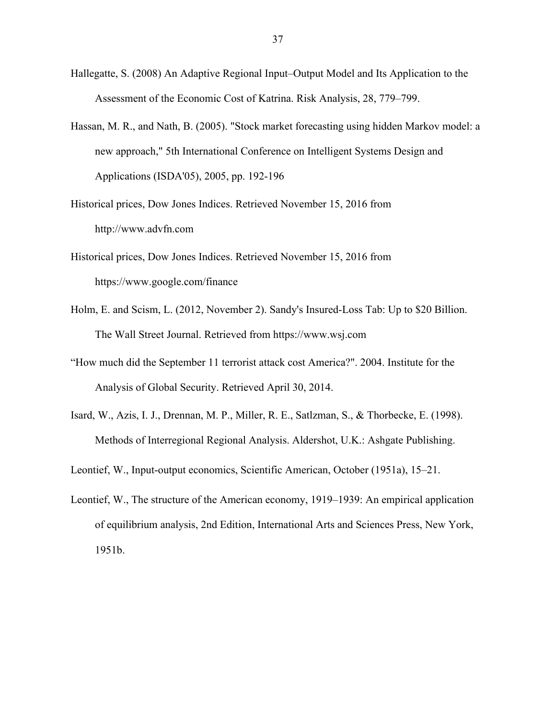- Hallegatte, S. (2008) An Adaptive Regional Input–Output Model and Its Application to the Assessment of the Economic Cost of Katrina. Risk Analysis, 28, 779–799.
- Hassan, M. R., and Nath, B. (2005). "Stock market forecasting using hidden Markov model: a new approach," 5th International Conference on Intelligent Systems Design and Applications (ISDA'05), 2005, pp. 192-196
- Historical prices, Dow Jones Indices. Retrieved November 15, 2016 from http://www.advfn.com
- Historical prices, Dow Jones Indices. Retrieved November 15, 2016 from https://www.google.com/finance
- Holm, E. and Scism, L. (2012, November 2). Sandy's Insured-Loss Tab: Up to \$20 Billion. The Wall Street Journal. Retrieved from https://www.wsj.com
- "How much did the September 11 terrorist attack cost America?". 2004. Institute for the Analysis of Global Security. Retrieved April 30, 2014.
- Isard, W., Azis, I. J., Drennan, M. P., Miller, R. E., Satlzman, S., & Thorbecke, E. (1998). Methods of Interregional Regional Analysis. Aldershot, U.K.: Ashgate Publishing.
- Leontief, W., Input-output economics, Scientific American, October (1951a), 15–21.
- Leontief, W., The structure of the American economy, 1919–1939: An empirical application of equilibrium analysis, 2nd Edition, International Arts and Sciences Press, New York, 1951b.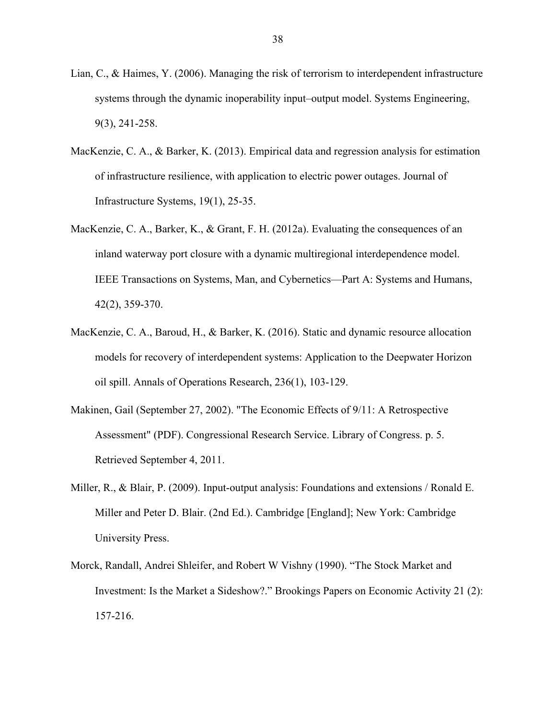- Lian, C., & Haimes, Y. (2006). Managing the risk of terrorism to interdependent infrastructure systems through the dynamic inoperability input–output model. Systems Engineering, 9(3), 241-258.
- MacKenzie, C. A., & Barker, K. (2013). Empirical data and regression analysis for estimation of infrastructure resilience, with application to electric power outages. Journal of Infrastructure Systems, 19(1), 25-35.
- MacKenzie, C. A., Barker, K., & Grant, F. H. (2012a). Evaluating the consequences of an inland waterway port closure with a dynamic multiregional interdependence model. IEEE Transactions on Systems, Man, and Cybernetics—Part A: Systems and Humans, 42(2), 359-370.
- MacKenzie, C. A., Baroud, H., & Barker, K. (2016). Static and dynamic resource allocation models for recovery of interdependent systems: Application to the Deepwater Horizon oil spill. Annals of Operations Research, 236(1), 103-129.
- Makinen, Gail (September 27, 2002). "The Economic Effects of 9/11: A Retrospective Assessment" (PDF). Congressional Research Service. Library of Congress. p. 5. Retrieved September 4, 2011.
- Miller, R., & Blair, P. (2009). Input-output analysis: Foundations and extensions / Ronald E. Miller and Peter D. Blair. (2nd Ed.). Cambridge [England]; New York: Cambridge University Press.
- Morck, Randall, Andrei Shleifer, and Robert W Vishny (1990). "The Stock Market and Investment: Is the Market a Sideshow?." Brookings Papers on Economic Activity 21 (2): 157-216.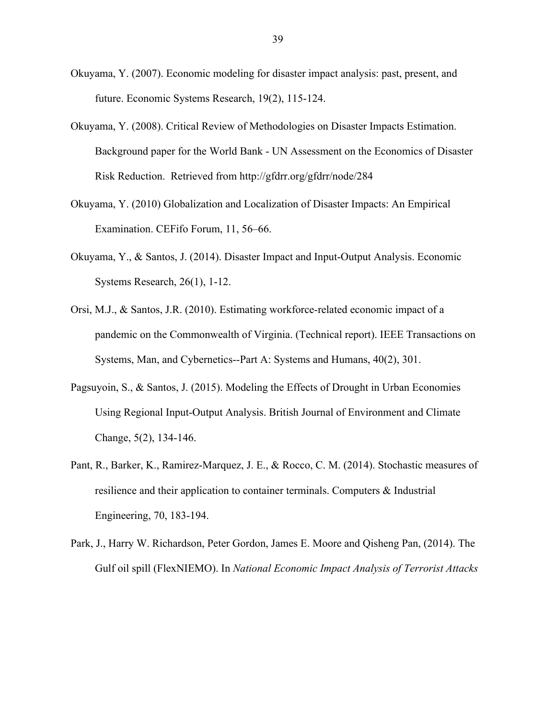- Okuyama, Y. (2007). Economic modeling for disaster impact analysis: past, present, and future. Economic Systems Research, 19(2), 115-124.
- Okuyama, Y. (2008). Critical Review of Methodologies on Disaster Impacts Estimation. Background paper for the World Bank - UN Assessment on the Economics of Disaster Risk Reduction. Retrieved from http://gfdrr.org/gfdrr/node/284
- Okuyama, Y. (2010) Globalization and Localization of Disaster Impacts: An Empirical Examination. CEFifo Forum, 11, 56–66.
- Okuyama, Y., & Santos, J. (2014). Disaster Impact and Input-Output Analysis. Economic Systems Research, 26(1), 1-12.
- Orsi, M.J., & Santos, J.R. (2010). Estimating workforce-related economic impact of a pandemic on the Commonwealth of Virginia. (Technical report). IEEE Transactions on Systems, Man, and Cybernetics--Part A: Systems and Humans, 40(2), 301.
- Pagsuyoin, S., & Santos, J. (2015). Modeling the Effects of Drought in Urban Economies Using Regional Input-Output Analysis. British Journal of Environment and Climate Change, 5(2), 134-146.
- Pant, R., Barker, K., Ramirez-Marquez, J. E., & Rocco, C. M. (2014). Stochastic measures of resilience and their application to container terminals. Computers & Industrial Engineering, 70, 183-194.
- Park, J., Harry W. Richardson, Peter Gordon, James E. Moore and Qisheng Pan, (2014). The Gulf oil spill (FlexNIEMO). In *National Economic Impact Analysis of Terrorist Attacks*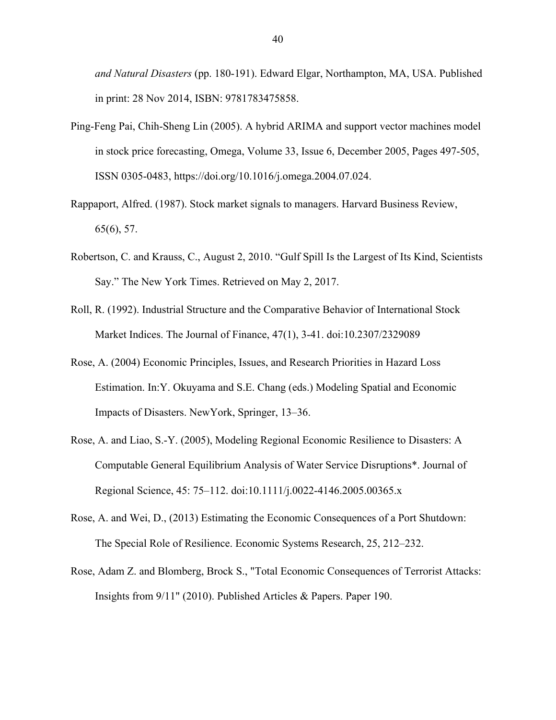*and Natural Disasters* (pp. 180-191). Edward Elgar, Northampton, MA, USA. Published in print: 28 Nov 2014, ISBN: 9781783475858.

- Ping-Feng Pai, Chih-Sheng Lin (2005). A hybrid ARIMA and support vector machines model in stock price forecasting, Omega, Volume 33, Issue 6, December 2005, Pages 497-505, ISSN 0305-0483, https://doi.org/10.1016/j.omega.2004.07.024.
- Rappaport, Alfred. (1987). Stock market signals to managers. Harvard Business Review, 65(6), 57.
- Robertson, C. and Krauss, C., August 2, 2010. "Gulf Spill Is the Largest of Its Kind, Scientists Say." The New York Times. Retrieved on May 2, 2017.
- Roll, R. (1992). Industrial Structure and the Comparative Behavior of International Stock Market Indices. The Journal of Finance, 47(1), 3-41. doi:10.2307/2329089
- Rose, A. (2004) Economic Principles, Issues, and Research Priorities in Hazard Loss Estimation. In:Y. Okuyama and S.E. Chang (eds.) Modeling Spatial and Economic Impacts of Disasters. NewYork, Springer, 13–36.
- Rose, A. and Liao, S.-Y. (2005), Modeling Regional Economic Resilience to Disasters: A Computable General Equilibrium Analysis of Water Service Disruptions\*. Journal of Regional Science, 45: 75–112. doi:10.1111/j.0022-4146.2005.00365.x
- Rose, A. and Wei, D., (2013) Estimating the Economic Consequences of a Port Shutdown: The Special Role of Resilience. Economic Systems Research, 25, 212–232.
- Rose, Adam Z. and Blomberg, Brock S., "Total Economic Consequences of Terrorist Attacks: Insights from 9/11" (2010). Published Articles & Papers. Paper 190.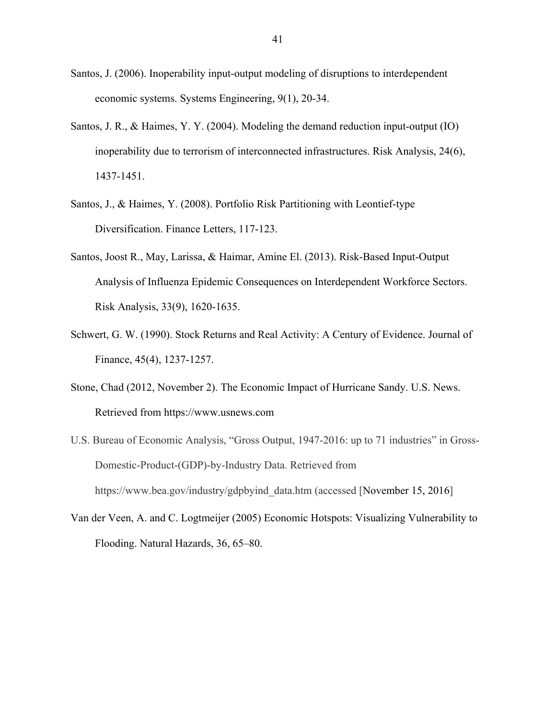- Santos, J. (2006). Inoperability input-output modeling of disruptions to interdependent economic systems. Systems Engineering, 9(1), 20-34.
- Santos, J. R., & Haimes, Y. Y. (2004). Modeling the demand reduction input-output (IO) inoperability due to terrorism of interconnected infrastructures. Risk Analysis, 24(6), 1437-1451.
- Santos, J., & Haimes, Y. (2008). Portfolio Risk Partitioning with Leontief-type Diversification. Finance Letters, 117-123.
- Santos, Joost R., May, Larissa, & Haimar, Amine El. (2013). Risk-Based Input-Output Analysis of Influenza Epidemic Consequences on Interdependent Workforce Sectors. Risk Analysis, 33(9), 1620-1635.
- Schwert, G. W. (1990). Stock Returns and Real Activity: A Century of Evidence. Journal of Finance, 45(4), 1237-1257.
- Stone, Chad (2012, November 2). The Economic Impact of Hurricane Sandy. U.S. News. Retrieved from https://www.usnews.com
- U.S. Bureau of Economic Analysis, "Gross Output, 1947-2016: up to 71 industries" in Gross-Domestic-Product-(GDP)-by-Industry Data. Retrieved from https://www.bea.gov/industry/gdpbyind\_data.htm (accessed [November 15, 2016]
- Van der Veen, A. and C. Logtmeijer (2005) Economic Hotspots: Visualizing Vulnerability to Flooding. Natural Hazards, 36, 65–80.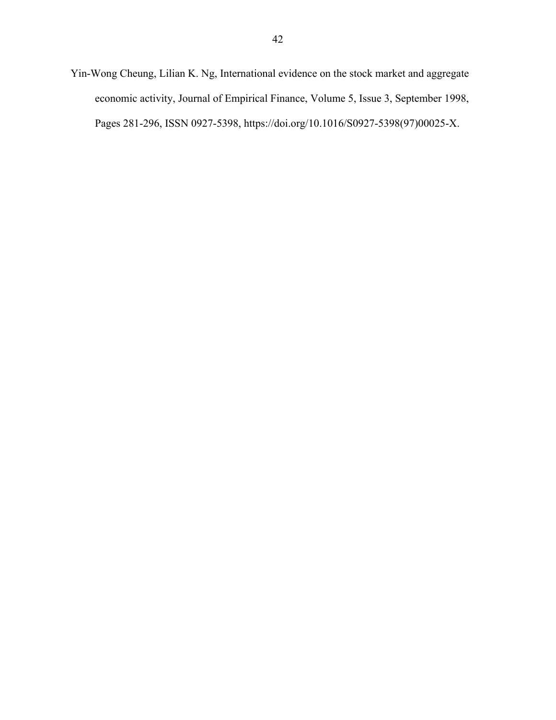Yin-Wong Cheung, Lilian K. Ng, International evidence on the stock market and aggregate economic activity, Journal of Empirical Finance, Volume 5, Issue 3, September 1998, Pages 281-296, ISSN 0927-5398, https://doi.org/10.1016/S0927-5398(97)00025-X.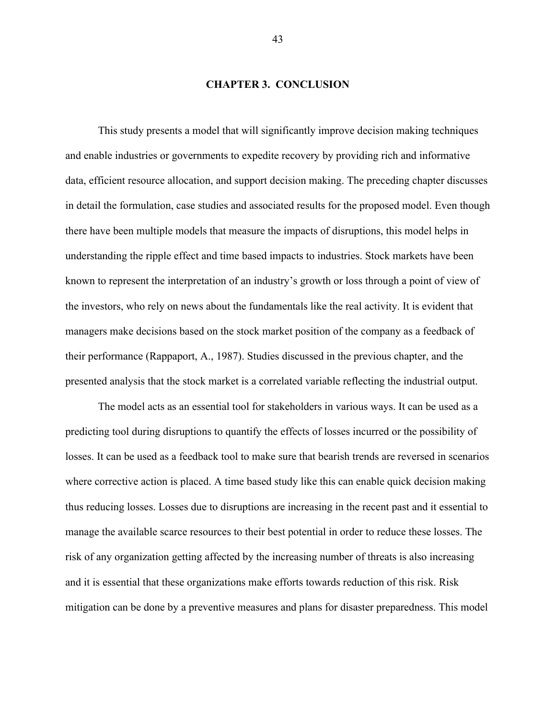## **CHAPTER 3. CONCLUSION**

This study presents a model that will significantly improve decision making techniques and enable industries or governments to expedite recovery by providing rich and informative data, efficient resource allocation, and support decision making. The preceding chapter discusses in detail the formulation, case studies and associated results for the proposed model. Even though there have been multiple models that measure the impacts of disruptions, this model helps in understanding the ripple effect and time based impacts to industries. Stock markets have been known to represent the interpretation of an industry's growth or loss through a point of view of the investors, who rely on news about the fundamentals like the real activity. It is evident that managers make decisions based on the stock market position of the company as a feedback of their performance (Rappaport, A., 1987). Studies discussed in the previous chapter, and the presented analysis that the stock market is a correlated variable reflecting the industrial output.

The model acts as an essential tool for stakeholders in various ways. It can be used as a predicting tool during disruptions to quantify the effects of losses incurred or the possibility of losses. It can be used as a feedback tool to make sure that bearish trends are reversed in scenarios where corrective action is placed. A time based study like this can enable quick decision making thus reducing losses. Losses due to disruptions are increasing in the recent past and it essential to manage the available scarce resources to their best potential in order to reduce these losses. The risk of any organization getting affected by the increasing number of threats is also increasing and it is essential that these organizations make efforts towards reduction of this risk. Risk mitigation can be done by a preventive measures and plans for disaster preparedness. This model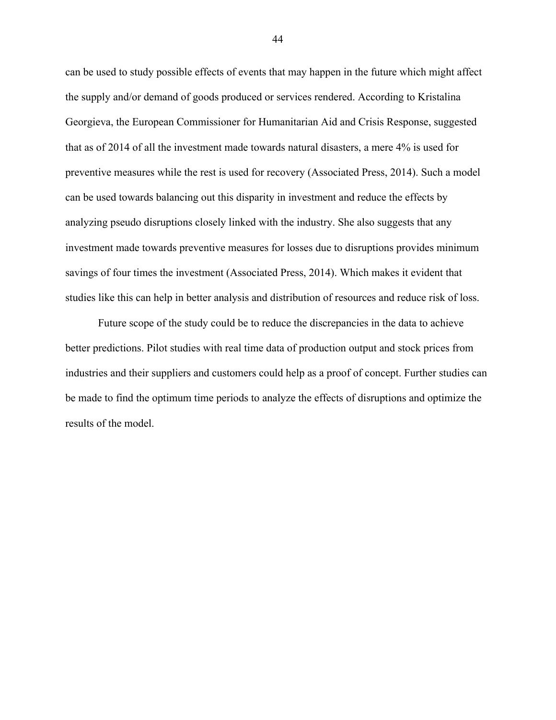can be used to study possible effects of events that may happen in the future which might affect the supply and/or demand of goods produced or services rendered. According to Kristalina Georgieva, the European Commissioner for Humanitarian Aid and Crisis Response, suggested that as of 2014 of all the investment made towards natural disasters, a mere 4% is used for preventive measures while the rest is used for recovery (Associated Press, 2014). Such a model can be used towards balancing out this disparity in investment and reduce the effects by analyzing pseudo disruptions closely linked with the industry. She also suggests that any investment made towards preventive measures for losses due to disruptions provides minimum savings of four times the investment (Associated Press, 2014). Which makes it evident that studies like this can help in better analysis and distribution of resources and reduce risk of loss.

Future scope of the study could be to reduce the discrepancies in the data to achieve better predictions. Pilot studies with real time data of production output and stock prices from industries and their suppliers and customers could help as a proof of concept. Further studies can be made to find the optimum time periods to analyze the effects of disruptions and optimize the results of the model.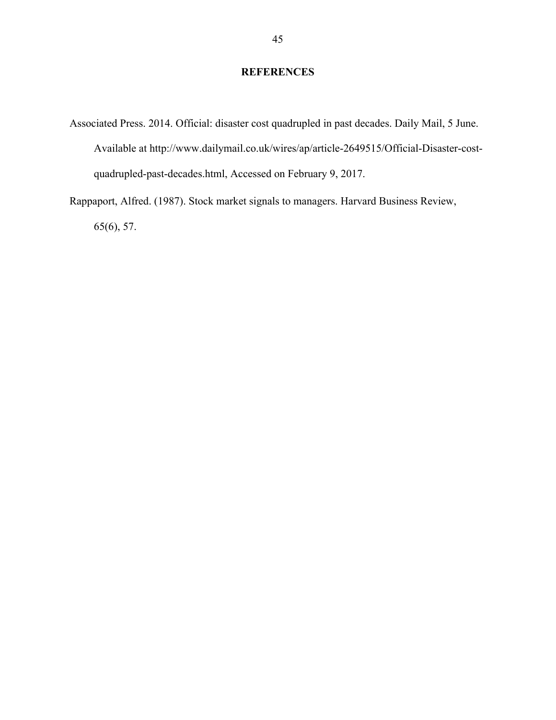## **REFERENCES**

- Associated Press. 2014. Official: disaster cost quadrupled in past decades. Daily Mail, 5 June. Available at http://www.dailymail.co.uk/wires/ap/article-2649515/Official-Disaster-costquadrupled-past-decades.html, Accessed on February 9, 2017.
- Rappaport, Alfred. (1987). Stock market signals to managers. Harvard Business Review, 65(6), 57.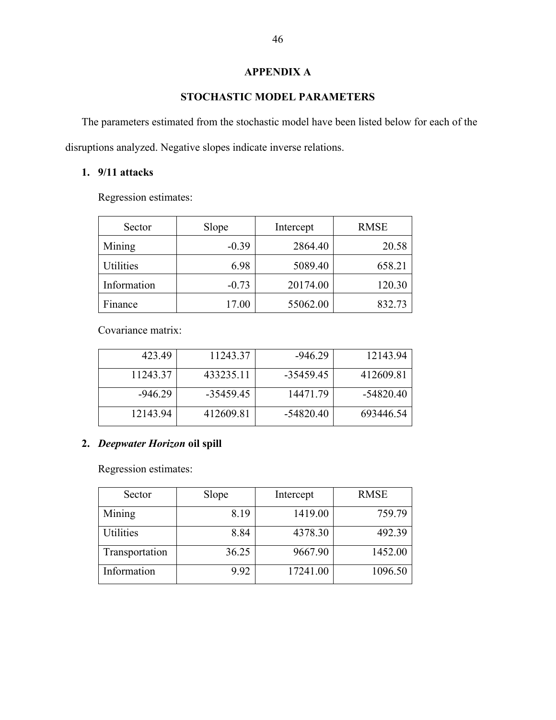## **APPENDIX A**

## **STOCHASTIC MODEL PARAMETERS**

The parameters estimated from the stochastic model have been listed below for each of the disruptions analyzed. Negative slopes indicate inverse relations.

## **1. 9/11 attacks**

Regression estimates:

| Sector      | Slope   | Intercept | <b>RMSE</b> |
|-------------|---------|-----------|-------------|
| Mining      | $-0.39$ | 2864.40   | 20.58       |
| Utilities   | 6.98    | 5089.40   | 658.21      |
| Information | $-0.73$ | 20174.00  | 120.30      |
| Finance     | 17.00   | 55062.00  | 832.73      |

Covariance matrix:

| 423.49   | 11243.37  | $-94629$  | 12143.94  |
|----------|-----------|-----------|-----------|
| 11243.37 | 433235.11 | -35459.45 | 41260981  |
| -946 29  | -35459.45 | 1447179   | -54820.40 |
| 12143.94 | 41260981  | -54820.40 | 693446.54 |

## **2.** *Deepwater Horizon* **oil spill**

Regression estimates:

| Sector         | Slope | Intercept | <b>RMSE</b> |
|----------------|-------|-----------|-------------|
| Mining         | 8.19  | 1419.00   | 759.79      |
| Utilities      | 8.84  | 4378.30   | 492.39      |
| Transportation | 36.25 | 9667.90   | 1452.00     |
| Information    | 9.92  | 17241.00  | 1096.50     |